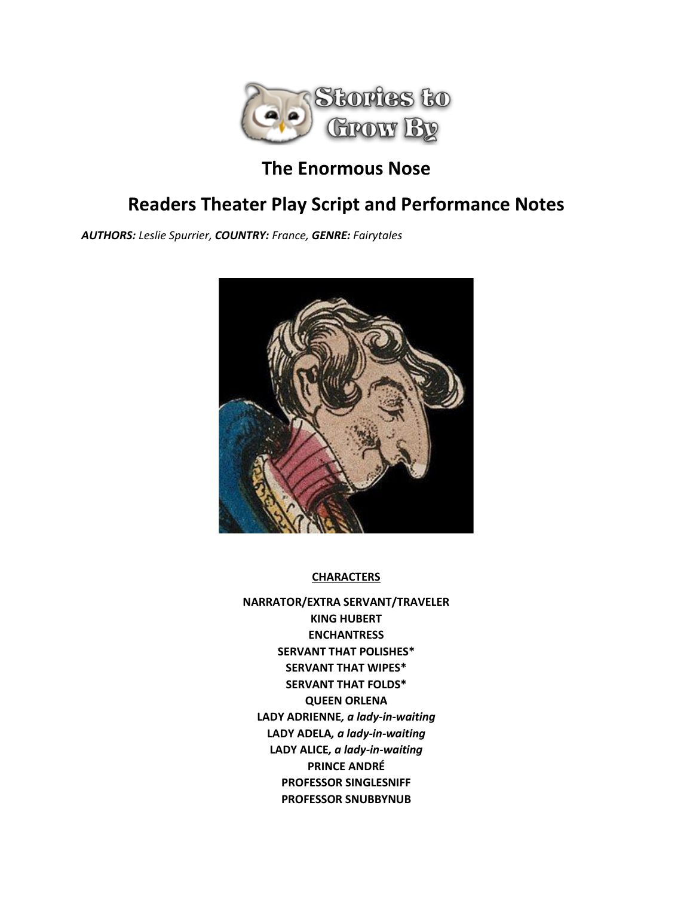

# **The Enormous Nose**

# **Readers Theater Play Script and Performance Notes**

*AUTHORS: Leslie Spurrier, COUNTRY: France, GENRE: Fairytales*



## **CHARACTERS**

**NARRATOR/EXTRA SERVANT/TRAVELER KING HUBERT ENCHANTRESS SERVANT THAT POLISHES\* SERVANT THAT WIPES\* SERVANT THAT FOLDS\* QUEEN ORLENA LADY ADRIENNE***, a lady-in-waiting* **LADY ADELA***, a lady-in-waiting* **LADY ALICE***, a lady-in-waiting* **PRINCE ANDRÉ PROFESSOR SINGLESNIFF PROFESSOR SNUBBYNUB**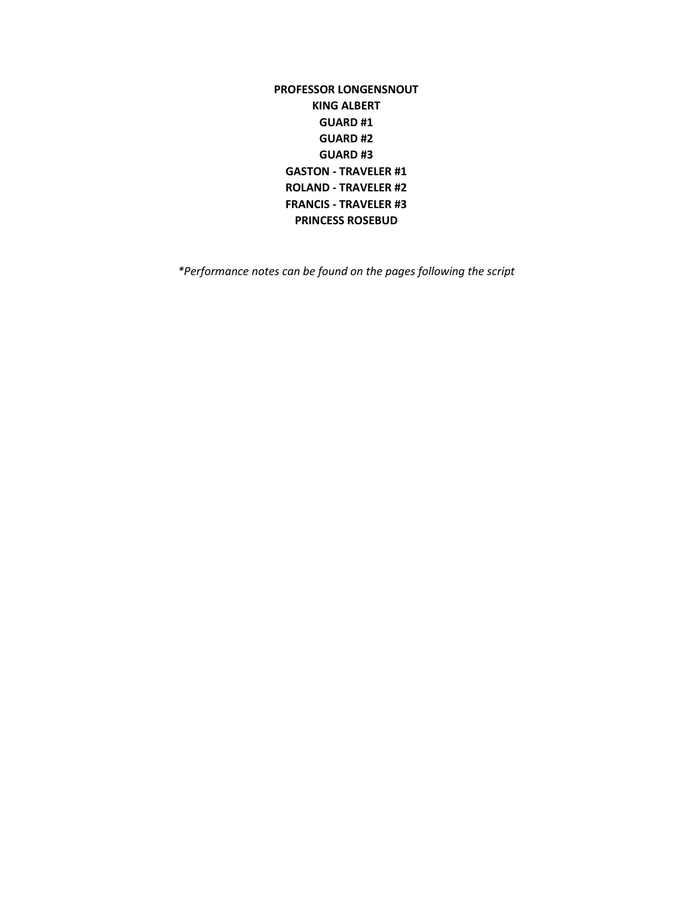**PROFESSOR LONGENSNOUT KING ALBERT GUARD #1 GUARD #2 GUARD #3 GASTON - TRAVELER #1 ROLAND - TRAVELER #2 FRANCIS - TRAVELER #3 PRINCESS ROSEBUD**

*\*Performance notes can be found on the pages following the script*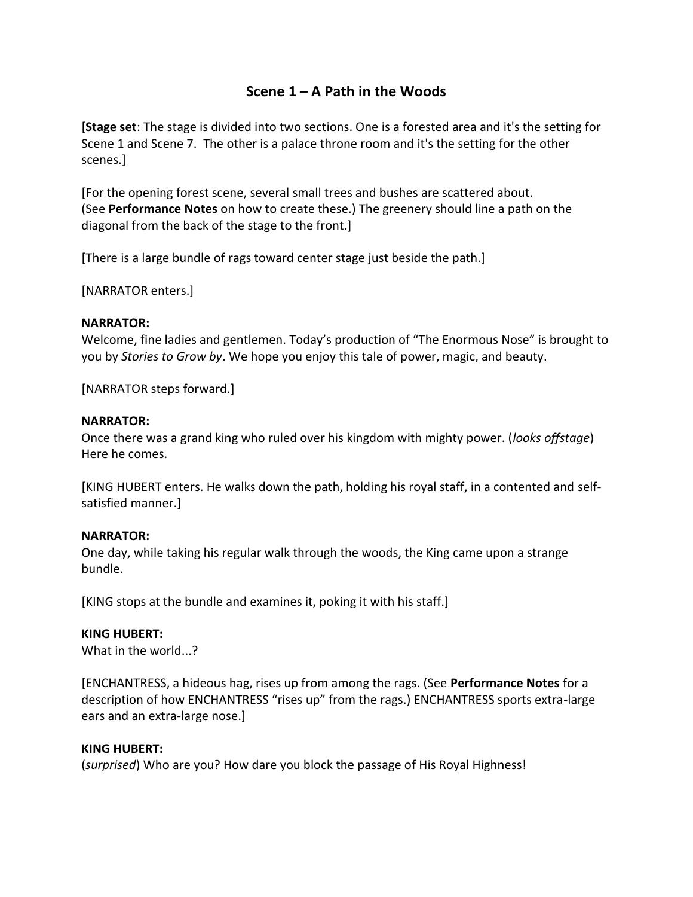## **Scene 1 – A Path in the Woods**

[**Stage set**: The stage is divided into two sections. One is a forested area and it's the setting for Scene 1 and Scene 7. The other is a palace throne room and it's the setting for the other scenes.]

[For the opening forest scene, several small trees and bushes are scattered about. (See **Performance Notes** on how to create these.) The greenery should line a path on the diagonal from the back of the stage to the front.]

[There is a large bundle of rags toward center stage just beside the path.]

[NARRATOR enters.]

## **NARRATOR:**

Welcome, fine ladies and gentlemen. Today's production of "The Enormous Nose" is brought to you by *Stories to Grow by*. We hope you enjoy this tale of power, magic, and beauty.

[NARRATOR steps forward.]

## **NARRATOR:**

Once there was a grand king who ruled over his kingdom with mighty power. (*looks offstage*) Here he comes.

[KING HUBERT enters. He walks down the path, holding his royal staff, in a contented and selfsatisfied manner.]

## **NARRATOR:**

One day, while taking his regular walk through the woods, the King came upon a strange bundle.

[KING stops at the bundle and examines it, poking it with his staff.]

## **KING HUBERT:**

What in the world...?

[ENCHANTRESS, a hideous hag, rises up from among the rags. (See **Performance Notes** for a description of how ENCHANTRESS "rises up" from the rags.) ENCHANTRESS sports extra-large ears and an extra-large nose.]

#### **KING HUBERT:**

(*surprised*) Who are you? How dare you block the passage of His Royal Highness!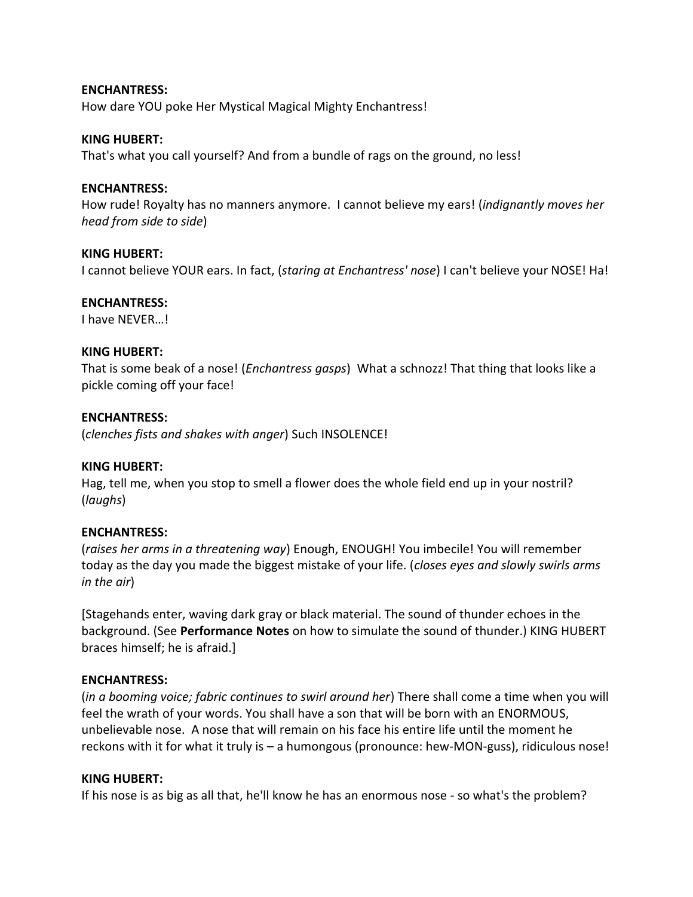**ENCHANTRESS:** How dare YOU poke Her Mystical Magical Mighty Enchantress!

#### **KING HUBERT:**

That's what you call yourself? And from a bundle of rags on the ground, no less!

## **ENCHANTRESS:**

How rude! Royalty has no manners anymore. I cannot believe my ears! (*indignantly moves her head from side to side*)

## **KING HUBERT:**

I cannot believe YOUR ears. In fact, (*staring at Enchantress' nose*) I can't believe your NOSE! Ha!

## **ENCHANTRESS:**

I have NEVER…!

## **KING HUBERT:**

That is some beak of a nose! (*Enchantress gasps*) What a schnozz! That thing that looks like a pickle coming off your face!

## **ENCHANTRESS:**

(*clenches fists and shakes with anger*) Such INSOLENCE!

#### **KING HUBERT:**

Hag, tell me, when you stop to smell a flower does the whole field end up in your nostril? (*laughs*)

#### **ENCHANTRESS:**

(*raises her arms in a threatening way*) Enough, ENOUGH! You imbecile! You will remember today as the day you made the biggest mistake of your life. (*closes eyes and slowly swirls arms in the air*)

[Stagehands enter, waving dark gray or black material. The sound of thunder echoes in the background. (See **Performance Notes** on how to simulate the sound of thunder.) KING HUBERT braces himself; he is afraid.]

#### **ENCHANTRESS:**

(*in a booming voice; fabric continues to swirl around her*) There shall come a time when you will feel the wrath of your words. You shall have a son that will be born with an ENORMOUS, unbelievable nose. A nose that will remain on his face his entire life until the moment he reckons with it for what it truly is – a humongous (pronounce: hew-MON-guss), ridiculous nose!

#### **KING HUBERT:**

If his nose is as big as all that, he'll know he has an enormous nose - so what's the problem?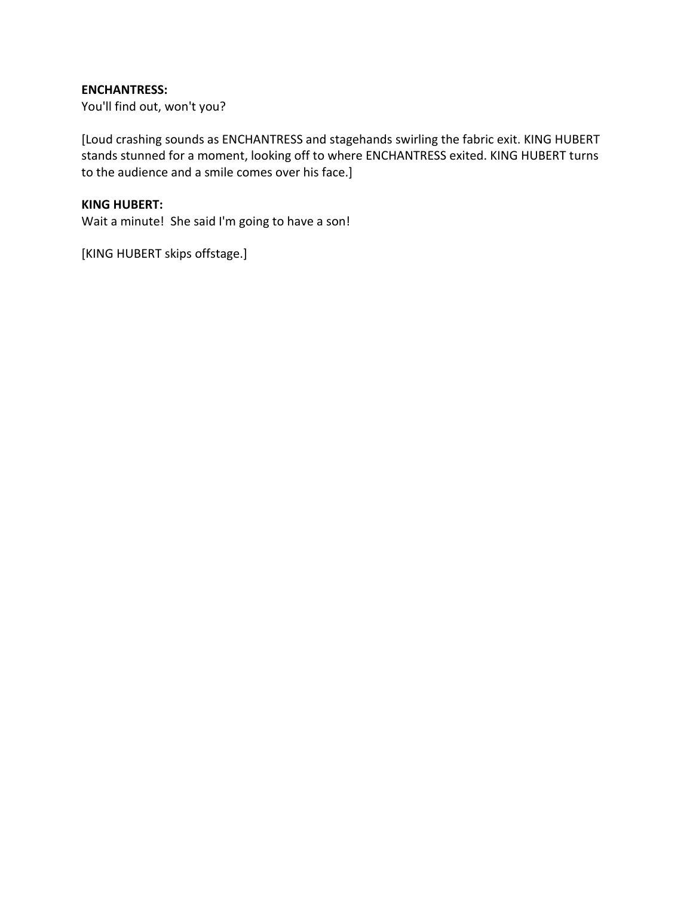## **ENCHANTRESS:**

You'll find out, won't you?

[Loud crashing sounds as ENCHANTRESS and stagehands swirling the fabric exit. KING HUBERT stands stunned for a moment, looking off to where ENCHANTRESS exited. KING HUBERT turns to the audience and a smile comes over his face.]

## **KING HUBERT:**

Wait a minute! She said I'm going to have a son!

[KING HUBERT skips offstage.]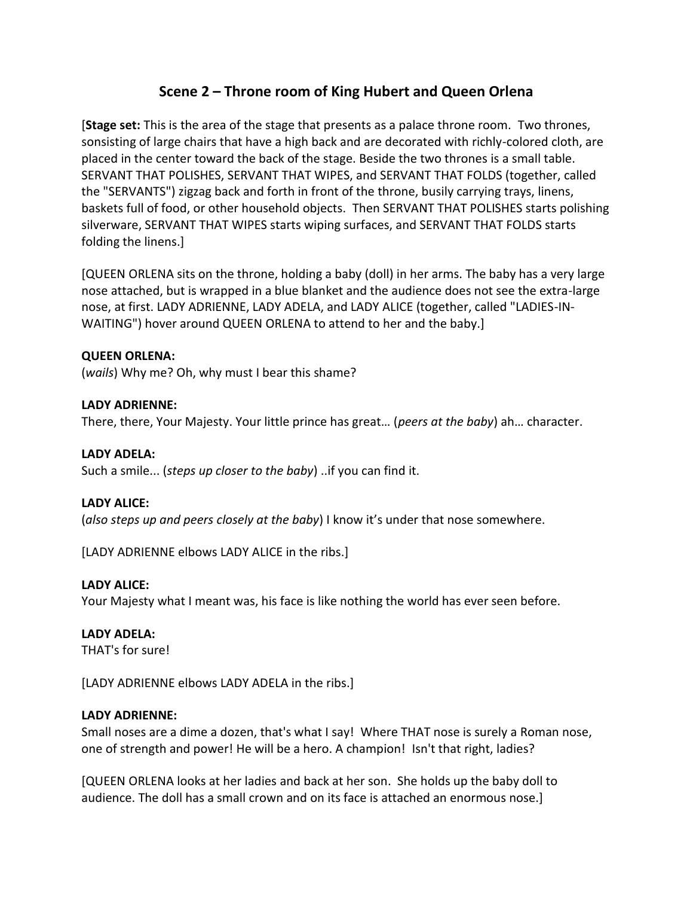## **Scene 2 – Throne room of King Hubert and Queen Orlena**

[**Stage set:** This is the area of the stage that presents as a palace throne room. Two thrones, sonsisting of large chairs that have a high back and are decorated with richly-colored cloth, are placed in the center toward the back of the stage. Beside the two thrones is a small table. SERVANT THAT POLISHES, SERVANT THAT WIPES, and SERVANT THAT FOLDS (together, called the "SERVANTS") zigzag back and forth in front of the throne, busily carrying trays, linens, baskets full of food, or other household objects. Then SERVANT THAT POLISHES starts polishing silverware, SERVANT THAT WIPES starts wiping surfaces, and SERVANT THAT FOLDS starts folding the linens.]

[QUEEN ORLENA sits on the throne, holding a baby (doll) in her arms. The baby has a very large nose attached, but is wrapped in a blue blanket and the audience does not see the extra-large nose, at first. LADY ADRIENNE, LADY ADELA, and LADY ALICE (together, called "LADIES-IN-WAITING") hover around QUEEN ORLENA to attend to her and the baby.]

## **QUEEN ORLENA:**

(*wails*) Why me? Oh, why must I bear this shame?

## **LADY ADRIENNE:**

There, there, Your Majesty. Your little prince has great… (*peers at the baby*) ah… character.

## **LADY ADELA:**

Such a smile... (*steps up closer to the baby*) ..if you can find it.

#### **LADY ALICE:**

(*also steps up and peers closely at the baby*) I know it's under that nose somewhere.

[LADY ADRIENNE elbows LADY ALICE in the ribs.]

#### **LADY ALICE:**

Your Majesty what I meant was, his face is like nothing the world has ever seen before.

#### **LADY ADELA:**

THAT's for sure!

[LADY ADRIENNE elbows LADY ADELA in the ribs.]

#### **LADY ADRIENNE:**

Small noses are a dime a dozen, that's what I say! Where THAT nose is surely a Roman nose, one of strength and power! He will be a hero. A champion! Isn't that right, ladies?

[QUEEN ORLENA looks at her ladies and back at her son. She holds up the baby doll to audience. The doll has a small crown and on its face is attached an enormous nose.]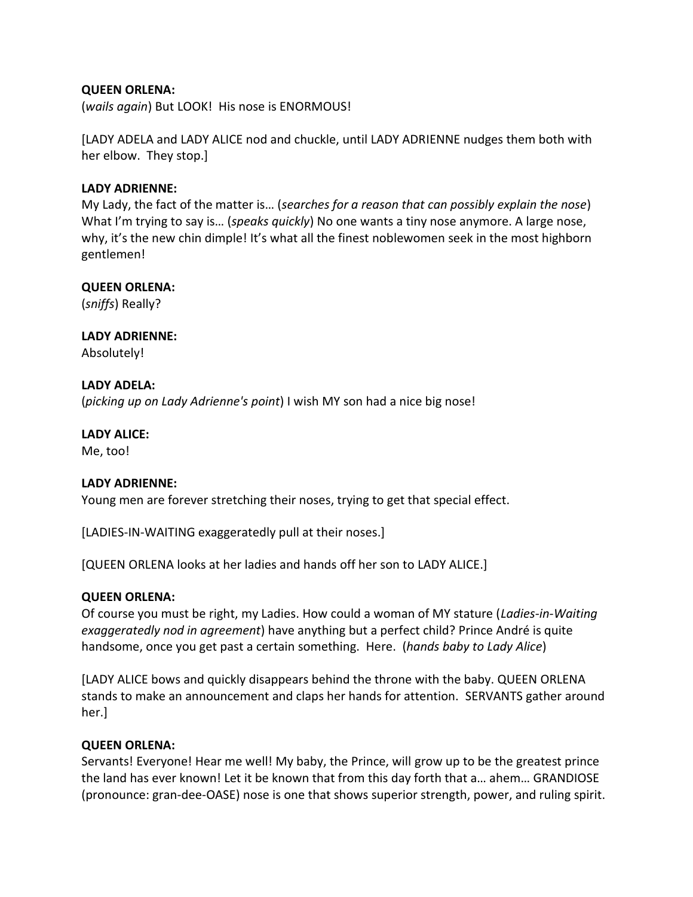## **QUEEN ORLENA:**

(*wails again*) But LOOK! His nose is ENORMOUS!

[LADY ADELA and LADY ALICE nod and chuckle, until LADY ADRIENNE nudges them both with her elbow. They stop.]

## **LADY ADRIENNE:**

My Lady, the fact of the matter is… (*searches for a reason that can possibly explain the nose*) What I'm trying to say is… (*speaks quickly*) No one wants a tiny nose anymore. A large nose, why, it's the new chin dimple! It's what all the finest noblewomen seek in the most highborn gentlemen!

## **QUEEN ORLENA:**

(*sniffs*) Really?

**LADY ADRIENNE:** Absolutely!

## **LADY ADELA:**

(*picking up on Lady Adrienne's point*) I wish MY son had a nice big nose!

#### **LADY ALICE:**

Me, too!

## **LADY ADRIENNE:**

Young men are forever stretching their noses, trying to get that special effect.

[LADIES-IN-WAITING exaggeratedly pull at their noses.]

[QUEEN ORLENA looks at her ladies and hands off her son to LADY ALICE.]

## **QUEEN ORLENA:**

Of course you must be right, my Ladies. How could a woman of MY stature (*Ladies-in-Waiting exaggeratedly nod in agreement*) have anything but a perfect child? Prince André is quite handsome, once you get past a certain something. Here. (*hands baby to Lady Alice*)

[LADY ALICE bows and quickly disappears behind the throne with the baby. QUEEN ORLENA stands to make an announcement and claps her hands for attention. SERVANTS gather around her.]

## **QUEEN ORLENA:**

Servants! Everyone! Hear me well! My baby, the Prince, will grow up to be the greatest prince the land has ever known! Let it be known that from this day forth that a… ahem… GRANDIOSE (pronounce: gran-dee-OASE) nose is one that shows superior strength, power, and ruling spirit.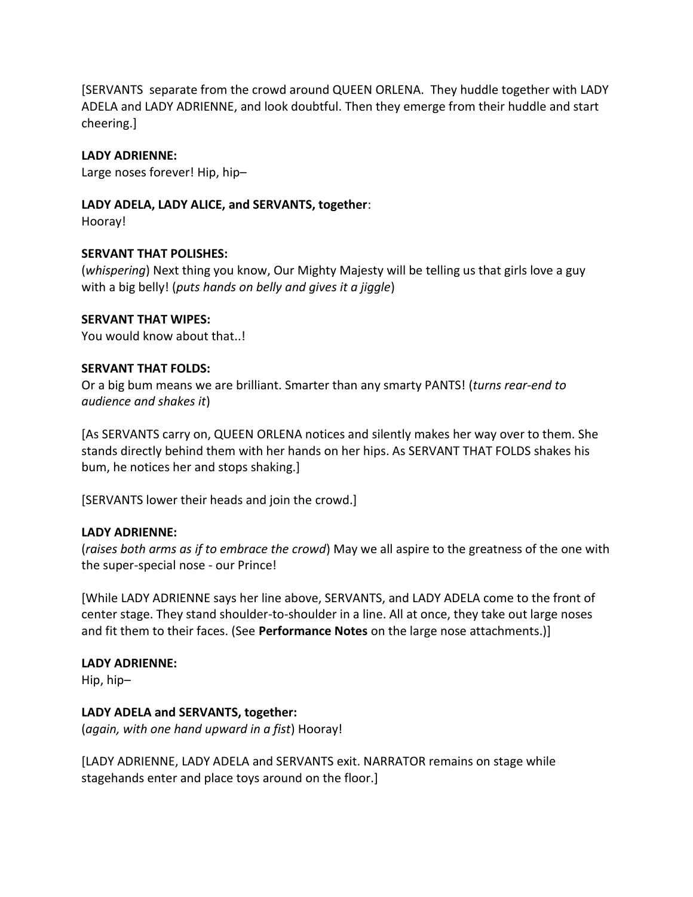[SERVANTS separate from the crowd around QUEEN ORLENA. They huddle together with LADY ADELA and LADY ADRIENNE, and look doubtful. Then they emerge from their huddle and start cheering.]

## **LADY ADRIENNE:**

Large noses forever! Hip, hip–

## **LADY ADELA, LADY ALICE, and SERVANTS, together**:

Hooray!

## **SERVANT THAT POLISHES:**

(*whispering*) Next thing you know, Our Mighty Majesty will be telling us that girls love a guy with a big belly! (*puts hands on belly and gives it a jiggle*)

## **SERVANT THAT WIPES:**

You would know about that..!

## **SERVANT THAT FOLDS:**

Or a big bum means we are brilliant. Smarter than any smarty PANTS! (*turns rear-end to audience and shakes it*)

[As SERVANTS carry on, QUEEN ORLENA notices and silently makes her way over to them. She stands directly behind them with her hands on her hips. As SERVANT THAT FOLDS shakes his bum, he notices her and stops shaking.]

[SERVANTS lower their heads and join the crowd.]

## **LADY ADRIENNE:**

(*raises both arms as if to embrace the crowd*) May we all aspire to the greatness of the one with the super-special nose - our Prince!

[While LADY ADRIENNE says her line above, SERVANTS, and LADY ADELA come to the front of center stage. They stand shoulder-to-shoulder in a line. All at once, they take out large noses and fit them to their faces. (See **Performance Notes** on the large nose attachments.)]

## **LADY ADRIENNE:**

Hip, hip–

## **LADY ADELA and SERVANTS, together:**

(*again, with one hand upward in a fist*) Hooray!

[LADY ADRIENNE, LADY ADELA and SERVANTS exit. NARRATOR remains on stage while stagehands enter and place toys around on the floor.]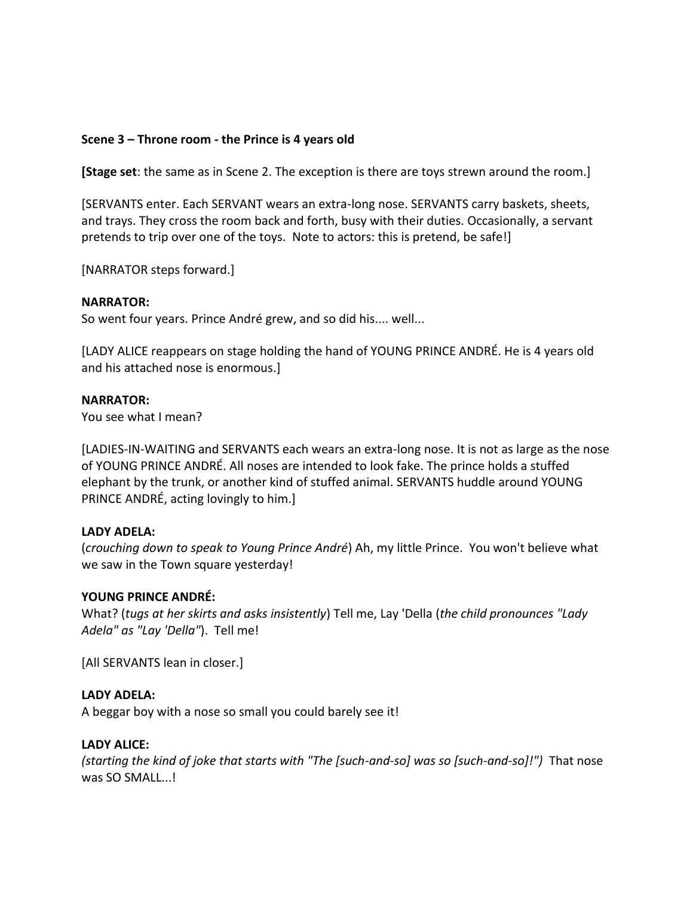## **Scene 3 – Throne room - the Prince is 4 years old**

**[Stage set**: the same as in Scene 2. The exception is there are toys strewn around the room.]

[SERVANTS enter. Each SERVANT wears an extra-long nose. SERVANTS carry baskets, sheets, and trays. They cross the room back and forth, busy with their duties. Occasionally, a servant pretends to trip over one of the toys. Note to actors: this is pretend, be safe!]

[NARRATOR steps forward.]

## **NARRATOR:**

So went four years. Prince André grew, and so did his.... well...

[LADY ALICE reappears on stage holding the hand of YOUNG PRINCE ANDRÉ. He is 4 years old and his attached nose is enormous.]

## **NARRATOR:**

You see what I mean?

[LADIES-IN-WAITING and SERVANTS each wears an extra-long nose. It is not as large as the nose of YOUNG PRINCE ANDRÉ. All noses are intended to look fake. The prince holds a stuffed elephant by the trunk, or another kind of stuffed animal. SERVANTS huddle around YOUNG PRINCE ANDRÉ, acting lovingly to him.]

## **LADY ADELA:**

(*crouching down to speak to Young Prince André*) Ah, my little Prince. You won't believe what we saw in the Town square yesterday!

## **YOUNG PRINCE ANDRÉ:**

What? (*tugs at her skirts and asks insistently*) Tell me, Lay 'Della (*the child pronounces "Lady Adela" as "Lay 'Della"*). Tell me!

[All SERVANTS lean in closer.]

## **LADY ADELA:**

A beggar boy with a nose so small you could barely see it!

## **LADY ALICE:**

*(starting the kind of joke that starts with "The [such-and-so] was so [such-and-so]!")* That nose was SO SMALL...!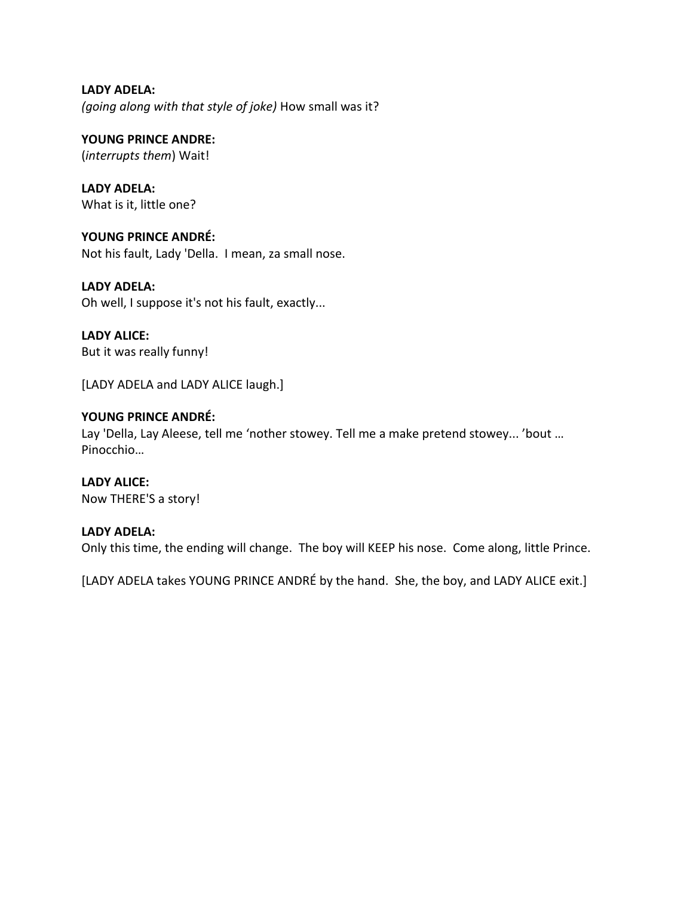**LADY ADELA:** *(going along with that style of joke)* How small was it?

**YOUNG PRINCE ANDRE:** (*interrupts them*) Wait!

**LADY ADELA:** What is it, little one?

**YOUNG PRINCE ANDRÉ:** Not his fault, Lady 'Della. I mean, za small nose.

**LADY ADELA:** Oh well, I suppose it's not his fault, exactly...

**LADY ALICE:** But it was really funny!

[LADY ADELA and LADY ALICE laugh.]

## **YOUNG PRINCE ANDRÉ:**

Lay 'Della, Lay Aleese, tell me 'nother stowey. Tell me a make pretend stowey... 'bout … Pinocchio…

**LADY ALICE:** Now THERE'S a story!

## **LADY ADELA:**

Only this time, the ending will change. The boy will KEEP his nose. Come along, little Prince.

[LADY ADELA takes YOUNG PRINCE ANDRÉ by the hand. She, the boy, and LADY ALICE exit.]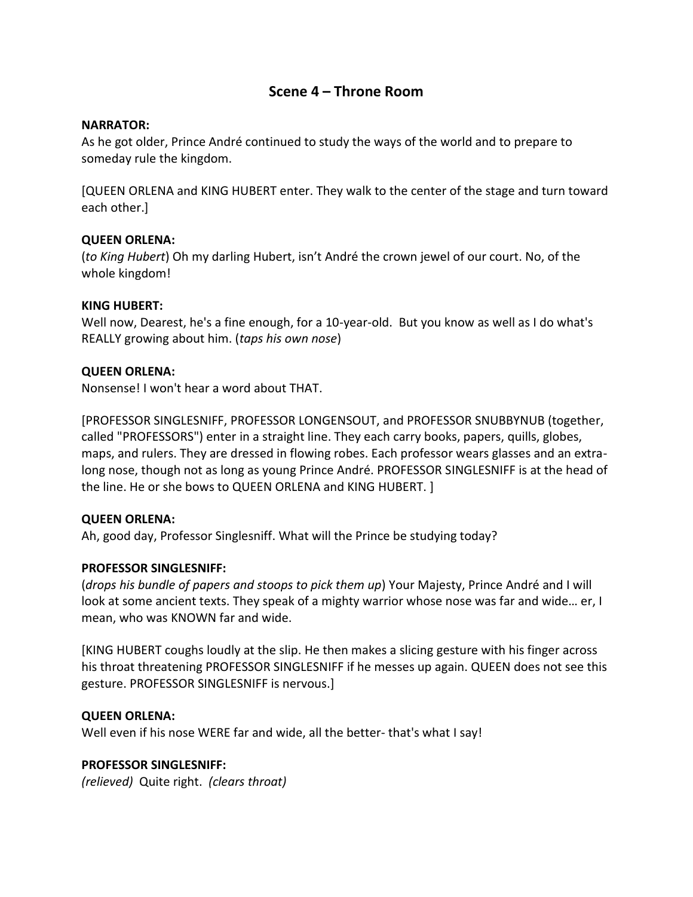## **Scene 4 – Throne Room**

## **NARRATOR:**

As he got older, Prince André continued to study the ways of the world and to prepare to someday rule the kingdom.

[QUEEN ORLENA and KING HUBERT enter. They walk to the center of the stage and turn toward each other.]

## **QUEEN ORLENA:**

(*to King Hubert*) Oh my darling Hubert, isn't André the crown jewel of our court. No, of the whole kingdom!

## **KING HUBERT:**

Well now, Dearest, he's a fine enough, for a 10-year-old. But you know as well as I do what's REALLY growing about him. (*taps his own nose*)

## **QUEEN ORLENA:**

Nonsense! I won't hear a word about THAT.

[PROFESSOR SINGLESNIFF, PROFESSOR LONGENSOUT, and PROFESSOR SNUBBYNUB (together, called "PROFESSORS") enter in a straight line. They each carry books, papers, quills, globes, maps, and rulers. They are dressed in flowing robes. Each professor wears glasses and an extralong nose, though not as long as young Prince André. PROFESSOR SINGLESNIFF is at the head of the line. He or she bows to QUEEN ORLENA and KING HUBERT. ]

#### **QUEEN ORLENA:**

Ah, good day, Professor Singlesniff. What will the Prince be studying today?

## **PROFESSOR SINGLESNIFF:**

(*drops his bundle of papers and stoops to pick them up*) Your Majesty, Prince André and I will look at some ancient texts. They speak of a mighty warrior whose nose was far and wide… er, I mean, who was KNOWN far and wide.

[KING HUBERT coughs loudly at the slip. He then makes a slicing gesture with his finger across his throat threatening PROFESSOR SINGLESNIFF if he messes up again. QUEEN does not see this gesture. PROFESSOR SINGLESNIFF is nervous.]

#### **QUEEN ORLENA:**

Well even if his nose WERE far and wide, all the better- that's what I say!

## **PROFESSOR SINGLESNIFF:**

*(relieved)* Quite right. *(clears throat)*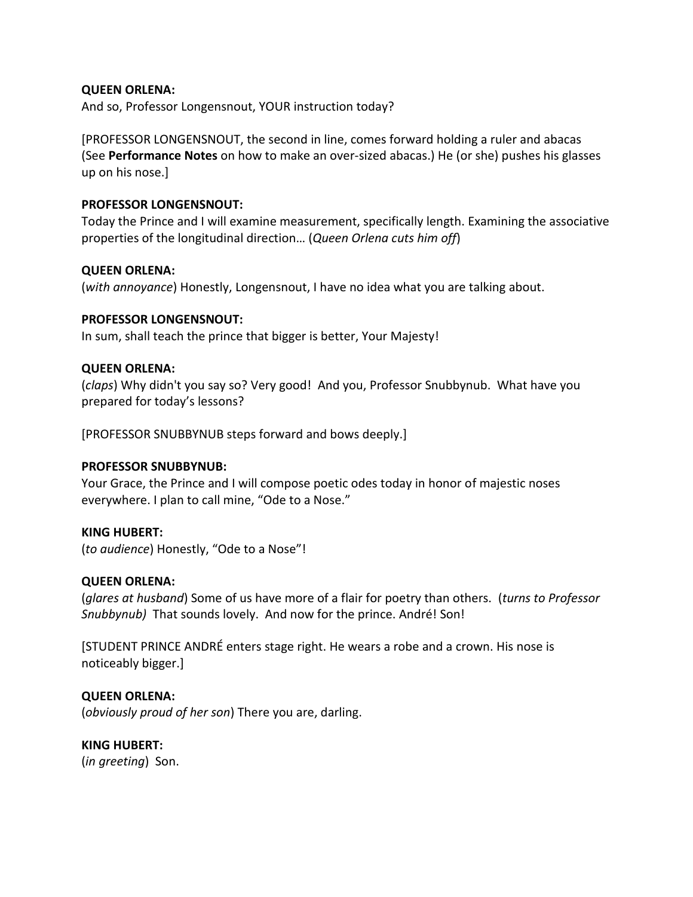## **QUEEN ORLENA:**

And so, Professor Longensnout, YOUR instruction today?

[PROFESSOR LONGENSNOUT, the second in line, comes forward holding a ruler and abacas (See **Performance Notes** on how to make an over-sized abacas.) He (or she) pushes his glasses up on his nose.]

## **PROFESSOR LONGENSNOUT:**

Today the Prince and I will examine measurement, specifically length. Examining the associative properties of the longitudinal direction… (*Queen Orlena cuts him off*)

## **QUEEN ORLENA:**

(*with annoyance*) Honestly, Longensnout, I have no idea what you are talking about.

## **PROFESSOR LONGENSNOUT:**

In sum, shall teach the prince that bigger is better, Your Majesty!

## **QUEEN ORLENA:**

(*claps*) Why didn't you say so? Very good! And you, Professor Snubbynub. What have you prepared for today's lessons?

[PROFESSOR SNUBBYNUB steps forward and bows deeply.]

## **PROFESSOR SNUBBYNUB:**

Your Grace, the Prince and I will compose poetic odes today in honor of majestic noses everywhere. I plan to call mine, "Ode to a Nose."

## **KING HUBERT:**

(*to audience*) Honestly, "Ode to a Nose"!

#### **QUEEN ORLENA:**

(*glares at husband*) Some of us have more of a flair for poetry than others. (*turns to Professor Snubbynub)* That sounds lovely. And now for the prince. André! Son!

[STUDENT PRINCE ANDRÉ enters stage right. He wears a robe and a crown. His nose is noticeably bigger.]

## **QUEEN ORLENA:**

(*obviously proud of her son*) There you are, darling.

## **KING HUBERT:**

(*in greeting*) Son.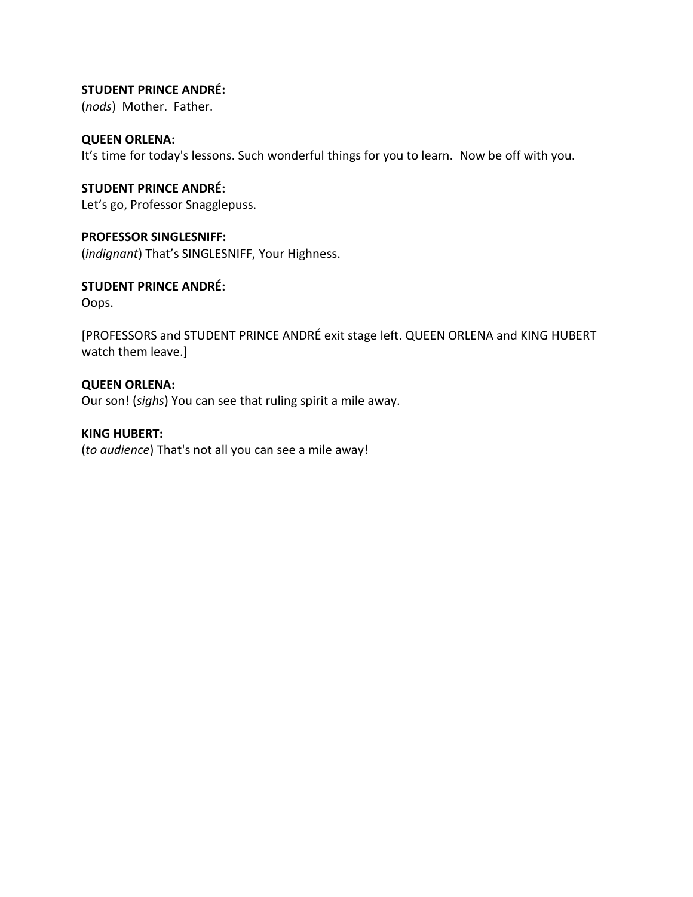## **STUDENT PRINCE ANDRÉ:**

(*nods*) Mother. Father.

## **QUEEN ORLENA:**

It's time for today's lessons. Such wonderful things for you to learn. Now be off with you.

## **STUDENT PRINCE ANDRÉ:** Let's go, Professor Snagglepuss.

**PROFESSOR SINGLESNIFF:**

(*indignant*) That's SINGLESNIFF, Your Highness.

## **STUDENT PRINCE ANDRÉ:**

Oops.

[PROFESSORS and STUDENT PRINCE ANDRÉ exit stage left. QUEEN ORLENA and KING HUBERT watch them leave.]

## **QUEEN ORLENA:**

Our son! (*sighs*) You can see that ruling spirit a mile away.

## **KING HUBERT:**

(*to audience*) That's not all you can see a mile away!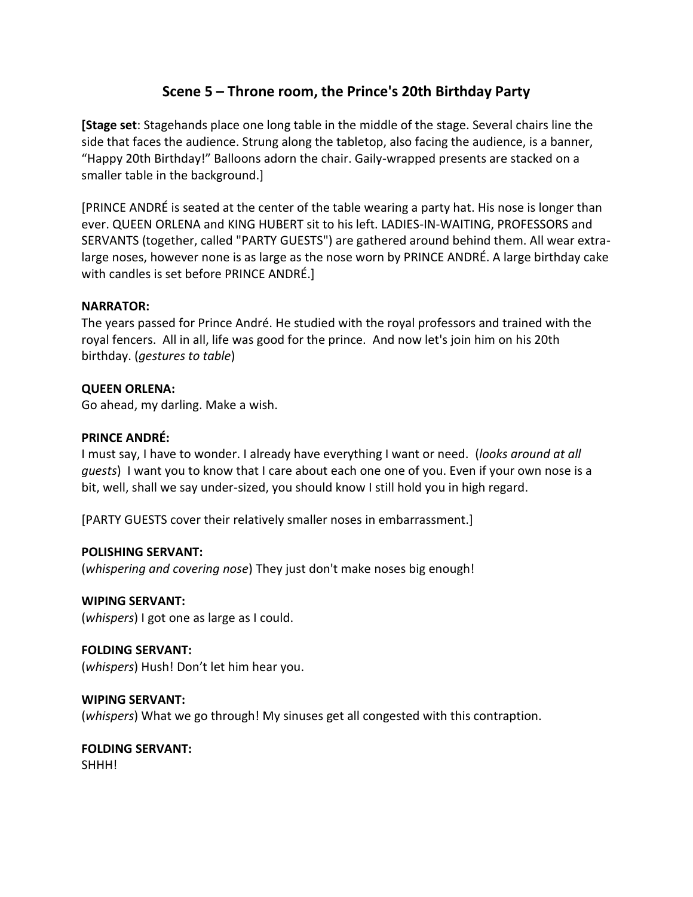## **Scene 5 – Throne room, the Prince's 20th Birthday Party**

**[Stage set**: Stagehands place one long table in the middle of the stage. Several chairs line the side that faces the audience. Strung along the tabletop, also facing the audience, is a banner, "Happy 20th Birthday!" Balloons adorn the chair. Gaily-wrapped presents are stacked on a smaller table in the background.]

[PRINCE ANDRÉ is seated at the center of the table wearing a party hat. His nose is longer than ever. QUEEN ORLENA and KING HUBERT sit to his left. LADIES-IN-WAITING, PROFESSORS and SERVANTS (together, called "PARTY GUESTS") are gathered around behind them. All wear extralarge noses, however none is as large as the nose worn by PRINCE ANDRÉ. A large birthday cake with candles is set before PRINCE ANDRÉ.]

## **NARRATOR:**

The years passed for Prince André. He studied with the royal professors and trained with the royal fencers. All in all, life was good for the prince. And now let's join him on his 20th birthday. (*gestures to table*)

## **QUEEN ORLENA:**

Go ahead, my darling. Make a wish.

## **PRINCE ANDRÉ:**

I must say, I have to wonder. I already have everything I want or need. (*looks around at all guests*) I want you to know that I care about each one one of you. Even if your own nose is a bit, well, shall we say under-sized, you should know I still hold you in high regard.

[PARTY GUESTS cover their relatively smaller noses in embarrassment.]

#### **POLISHING SERVANT:**

(*whispering and covering nose*) They just don't make noses big enough!

## **WIPING SERVANT:**

(*whispers*) I got one as large as I could.

## **FOLDING SERVANT:**

(*whispers*) Hush! Don't let him hear you.

## **WIPING SERVANT:**

(*whispers*) What we go through! My sinuses get all congested with this contraption.

## **FOLDING SERVANT:**

SHHH!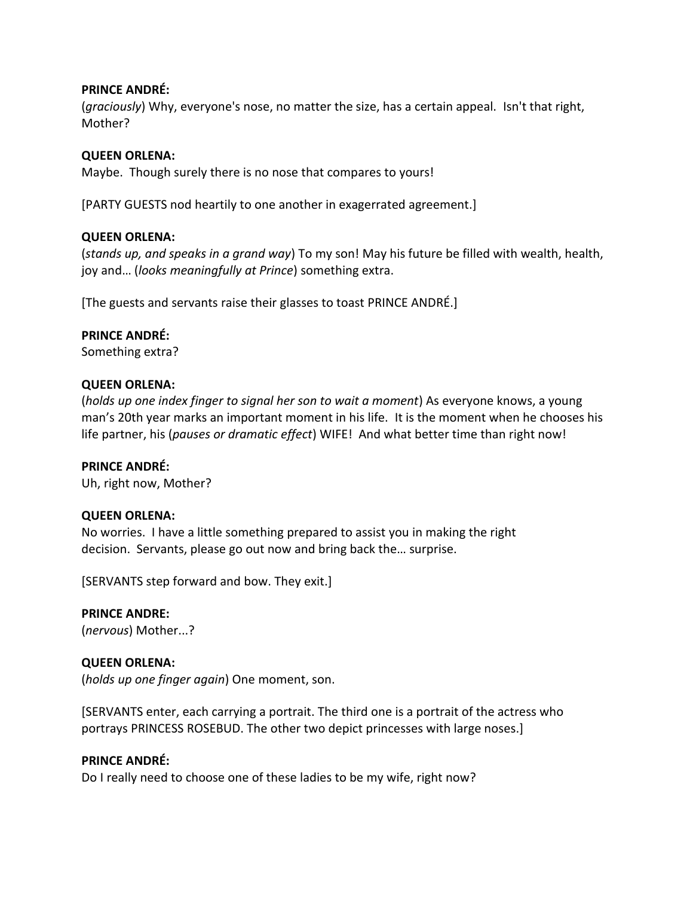## **PRINCE ANDRÉ:**

(*graciously*) Why, everyone's nose, no matter the size, has a certain appeal. Isn't that right, Mother?

## **QUEEN ORLENA:**

Maybe. Though surely there is no nose that compares to yours!

[PARTY GUESTS nod heartily to one another in exagerrated agreement.]

## **QUEEN ORLENA:**

(*stands up, and speaks in a grand way*) To my son! May his future be filled with wealth, health, joy and… (*looks meaningfully at Prince*) something extra.

[The guests and servants raise their glasses to toast PRINCE ANDRÉ.]

## **PRINCE ANDRÉ:**

Something extra?

#### **QUEEN ORLENA:**

(*holds up one index finger to signal her son to wait a moment*) As everyone knows, a young man's 20th year marks an important moment in his life.It is the moment when he chooses his life partner, his (*pauses or dramatic effect*) WIFE! And what better time than right now!

#### **PRINCE ANDRÉ:**

Uh, right now, Mother?

#### **QUEEN ORLENA:**

No worries. I have a little something prepared to assist you in making the right decision. Servants, please go out now and bring back the… surprise.

[SERVANTS step forward and bow. They exit.]

## **PRINCE ANDRE:**

(*nervous*) Mother...?

## **QUEEN ORLENA:**

(*holds up one finger again*) One moment, son.

[SERVANTS enter, each carrying a portrait. The third one is a portrait of the actress who portrays PRINCESS ROSEBUD. The other two depict princesses with large noses.]

#### **PRINCE ANDRÉ:**

Do I really need to choose one of these ladies to be my wife, right now?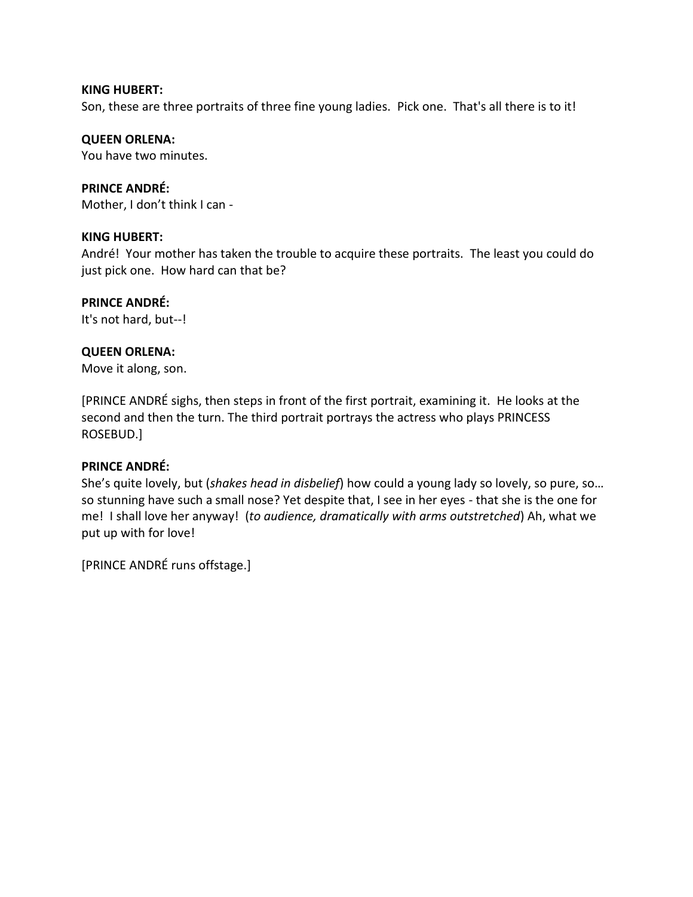#### **KING HUBERT:**

Son, these are three portraits of three fine young ladies. Pick one. That's all there is to it!

## **QUEEN ORLENA:**

You have two minutes.

## **PRINCE ANDRÉ:**

Mother, I don't think I can -

## **KING HUBERT:**

André! Your mother has taken the trouble to acquire these portraits. The least you could do just pick one. How hard can that be?

## **PRINCE ANDRÉ:**

It's not hard, but--!

## **QUEEN ORLENA:**

Move it along, son.

[PRINCE ANDRÉ sighs, then steps in front of the first portrait, examining it. He looks at the second and then the turn. The third portrait portrays the actress who plays PRINCESS ROSEBUD.]

## **PRINCE ANDRÉ:**

She's quite lovely, but (*shakes head in disbelief*) how could a young lady so lovely, so pure, so… so stunning have such a small nose? Yet despite that, I see in her eyes - that she is the one for me! I shall love her anyway! (*to audience, dramatically with arms outstretched*) Ah, what we put up with for love!

[PRINCE ANDRÉ runs offstage.]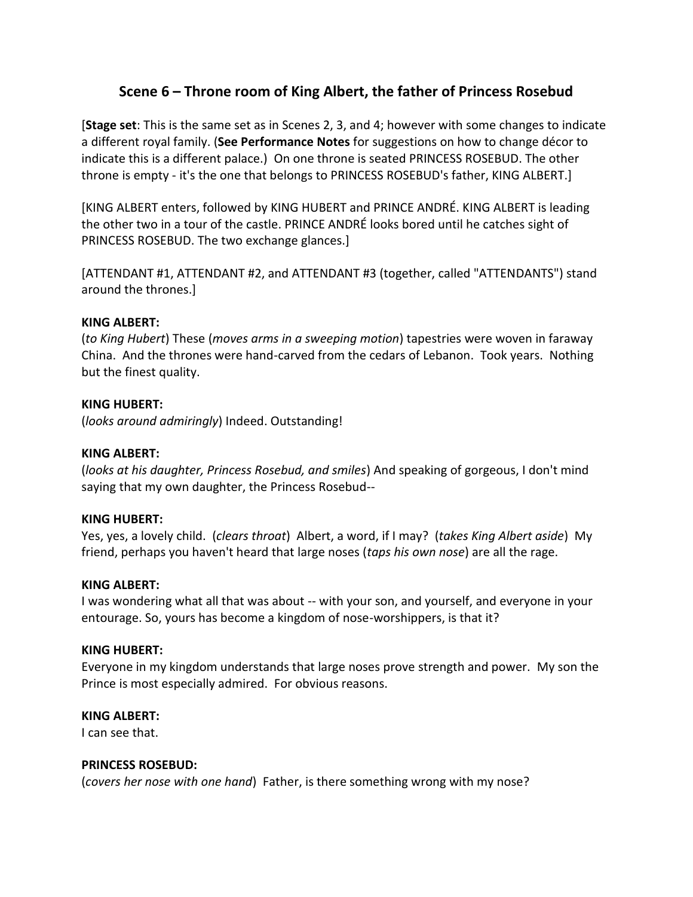## **Scene 6 – Throne room of King Albert, the father of Princess Rosebud**

[**Stage set**: This is the same set as in Scenes 2, 3, and 4; however with some changes to indicate a different royal family. (**See Performance Notes** for suggestions on how to change décor to indicate this is a different palace.) On one throne is seated PRINCESS ROSEBUD. The other throne is empty - it's the one that belongs to PRINCESS ROSEBUD's father, KING ALBERT.]

[KING ALBERT enters, followed by KING HUBERT and PRINCE ANDRÉ. KING ALBERT is leading the other two in a tour of the castle. PRINCE ANDRÉ looks bored until he catches sight of PRINCESS ROSEBUD. The two exchange glances.]

[ATTENDANT #1, ATTENDANT #2, and ATTENDANT #3 (together, called "ATTENDANTS") stand around the thrones.]

## **KING ALBERT:**

(*to King Hubert*) These (*moves arms in a sweeping motion*) tapestries were woven in faraway China. And the thrones were hand-carved from the cedars of Lebanon. Took years. Nothing but the finest quality.

## **KING HUBERT:**

(*looks around admiringly*) Indeed. Outstanding!

## **KING ALBERT:**

(*looks at his daughter, Princess Rosebud, and smiles*) And speaking of gorgeous, I don't mind saying that my own daughter, the Princess Rosebud--

#### **KING HUBERT:**

Yes, yes, a lovely child. (*clears throat*) Albert, a word, if I may? (*takes King Albert aside*) My friend, perhaps you haven't heard that large noses (*taps his own nose*) are all the rage.

#### **KING ALBERT:**

I was wondering what all that was about -- with your son, and yourself, and everyone in your entourage. So, yours has become a kingdom of nose-worshippers, is that it?

#### **KING HUBERT:**

Everyone in my kingdom understands that large noses prove strength and power. My son the Prince is most especially admired. For obvious reasons.

#### **KING ALBERT:**

I can see that.

#### **PRINCESS ROSEBUD:**

(*covers her nose with one hand*) Father, is there something wrong with my nose?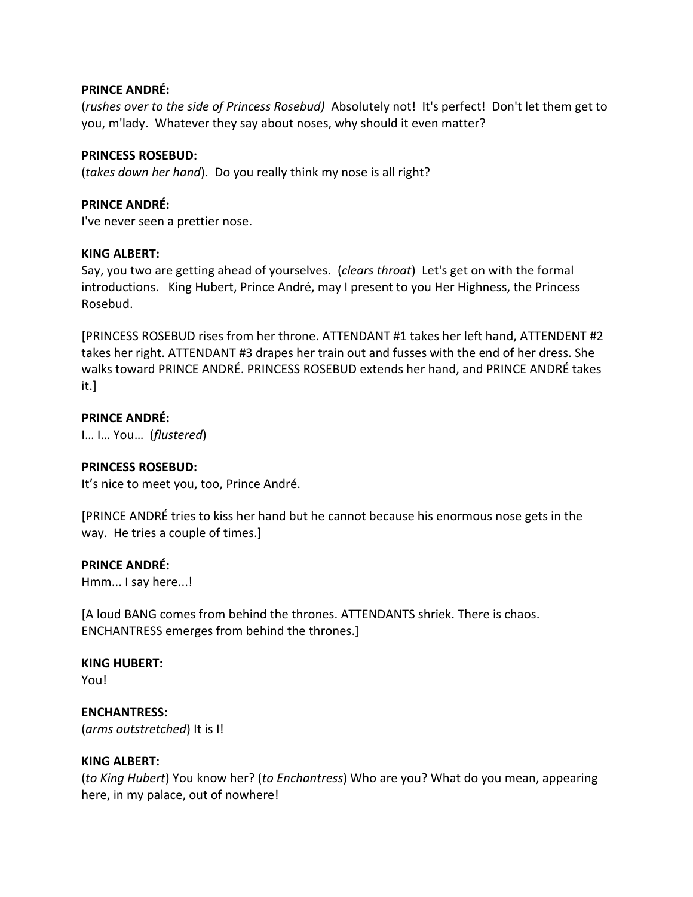## **PRINCE ANDRÉ:**

(*rushes over to the side of Princess Rosebud)* Absolutely not! It's perfect! Don't let them get to you, m'lady. Whatever they say about noses, why should it even matter?

## **PRINCESS ROSEBUD:**

(*takes down her hand*). Do you really think my nose is all right?

## **PRINCE ANDRÉ:**

I've never seen a prettier nose.

#### **KING ALBERT:**

Say, you two are getting ahead of yourselves. (*clears throat*) Let's get on with the formal introductions. King Hubert, Prince André, may I present to you Her Highness, the Princess Rosebud.

[PRINCESS ROSEBUD rises from her throne. ATTENDANT #1 takes her left hand, ATTENDENT #2 takes her right. ATTENDANT #3 drapes her train out and fusses with the end of her dress. She walks toward PRINCE ANDRÉ. PRINCESS ROSEBUD extends her hand, and PRINCE ANDRÉ takes it.]

## **PRINCE ANDRÉ:**

I… I… You… (*flustered*)

## **PRINCESS ROSEBUD:**

It's nice to meet you, too, Prince André.

[PRINCE ANDRÉ tries to kiss her hand but he cannot because his enormous nose gets in the way. He tries a couple of times.]

#### **PRINCE ANDRÉ:**

Hmm... I say here...!

[A loud BANG comes from behind the thrones. ATTENDANTS shriek. There is chaos. ENCHANTRESS emerges from behind the thrones.]

## **KING HUBERT:**

You!

**ENCHANTRESS:** (*arms outstretched*) It is I!

## **KING ALBERT:**

(*to King Hubert*) You know her? (*to Enchantress*) Who are you? What do you mean, appearing here, in my palace, out of nowhere!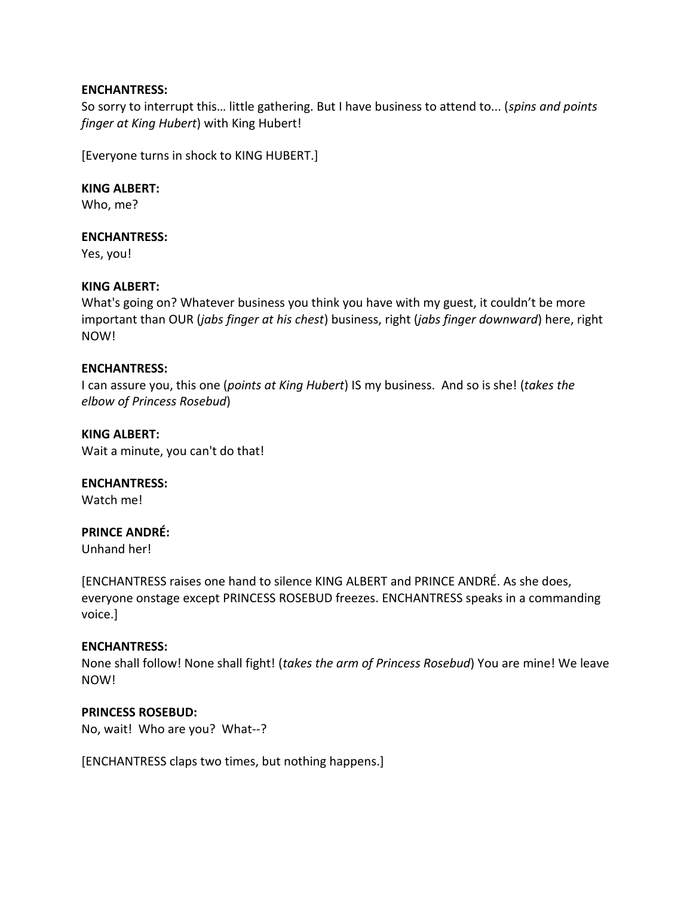## **ENCHANTRESS:**

So sorry to interrupt this… little gathering. But I have business to attend to... (*spins and points finger at King Hubert*) with King Hubert!

[Everyone turns in shock to KING HUBERT.]

**KING ALBERT:** Who, me?

## **ENCHANTRESS:**

Yes, you!

## **KING ALBERT:**

What's going on? Whatever business you think you have with my guest, it couldn't be more important than OUR (*jabs finger at his chest*) business, right (*jabs finger downward*) here, right NOW!

## **ENCHANTRESS:**

I can assure you, this one (*points at King Hubert*) IS my business. And so is she! (*takes the elbow of Princess Rosebud*)

**KING ALBERT:**

Wait a minute, you can't do that!

**ENCHANTRESS:**

Watch me!

## **PRINCE ANDRÉ:**

Unhand her!

[ENCHANTRESS raises one hand to silence KING ALBERT and PRINCE ANDRÉ. As she does, everyone onstage except PRINCESS ROSEBUD freezes. ENCHANTRESS speaks in a commanding voice.]

#### **ENCHANTRESS:**

None shall follow! None shall fight! (*takes the arm of Princess Rosebud*) You are mine! We leave NOW!

#### **PRINCESS ROSEBUD:**

No, wait! Who are you? What--?

[ENCHANTRESS claps two times, but nothing happens.]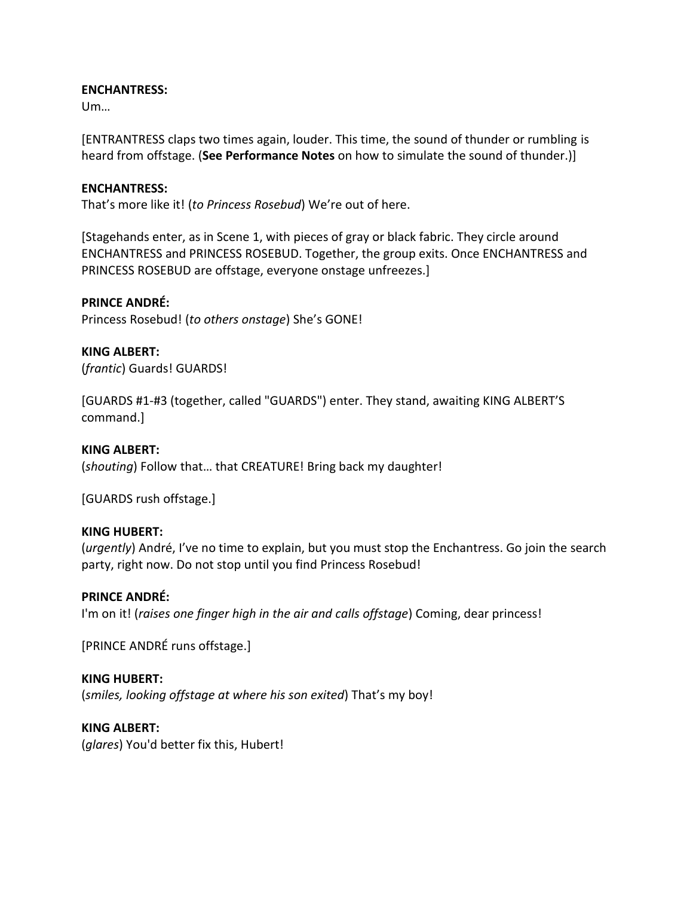## **ENCHANTRESS:**

Um…

[ENTRANTRESS claps two times again, louder. This time, the sound of thunder or rumbling is heard from offstage. (**See Performance Notes** on how to simulate the sound of thunder.)]

## **ENCHANTRESS:**

That's more like it! (*to Princess Rosebud*) We're out of here.

[Stagehands enter, as in Scene 1, with pieces of gray or black fabric. They circle around ENCHANTRESS and PRINCESS ROSEBUD. Together, the group exits. Once ENCHANTRESS and PRINCESS ROSEBUD are offstage, everyone onstage unfreezes.]

## **PRINCE ANDRÉ:**

Princess Rosebud! (*to others onstage*) She's GONE!

## **KING ALBERT:**

(*frantic*) Guards! GUARDS!

[GUARDS #1-#3 (together, called "GUARDS") enter. They stand, awaiting KING ALBERT'S command.]

#### **KING ALBERT:**

(*shouting*) Follow that… that CREATURE! Bring back my daughter!

[GUARDS rush offstage.]

#### **KING HUBERT:**

(*urgently*) André, I've no time to explain, but you must stop the Enchantress. Go join the search party, right now. Do not stop until you find Princess Rosebud!

#### **PRINCE ANDRÉ:**

I'm on it! (*raises one finger high in the air and calls offstage*) Coming, dear princess!

[PRINCE ANDRÉ runs offstage.]

#### **KING HUBERT:**

(*smiles, looking offstage at where his son exited*) That's my boy!

## **KING ALBERT:**

(*glares*) You'd better fix this, Hubert!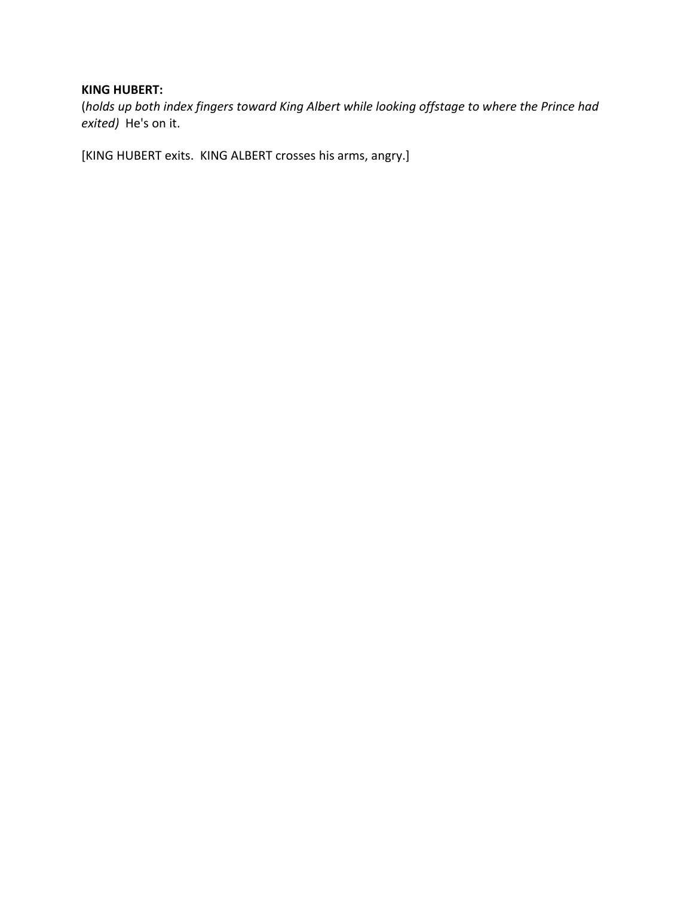## **KING HUBERT:**

(*holds up both index fingers toward King Albert while looking offstage to where the Prince had exited)* He's on it.

[KING HUBERT exits. KING ALBERT crosses his arms, angry.]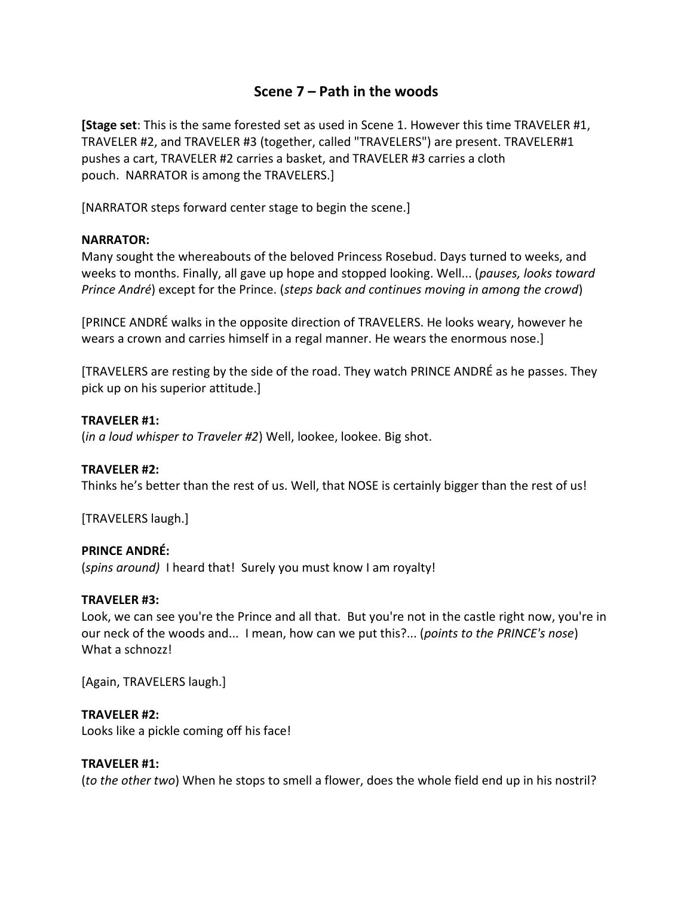## **Scene 7 – Path in the woods**

**[Stage set**: This is the same forested set as used in Scene 1. However this time TRAVELER #1, TRAVELER #2, and TRAVELER #3 (together, called "TRAVELERS") are present. TRAVELER#1 pushes a cart, TRAVELER #2 carries a basket, and TRAVELER #3 carries a cloth pouch. NARRATOR is among the TRAVELERS.]

[NARRATOR steps forward center stage to begin the scene.]

## **NARRATOR:**

Many sought the whereabouts of the beloved Princess Rosebud. Days turned to weeks, and weeks to months. Finally, all gave up hope and stopped looking. Well... (*pauses, looks toward Prince André*) except for the Prince. (*steps back and continues moving in among the crowd*)

[PRINCE ANDRÉ walks in the opposite direction of TRAVELERS. He looks weary, however he wears a crown and carries himself in a regal manner. He wears the enormous nose.]

[TRAVELERS are resting by the side of the road. They watch PRINCE ANDRÉ as he passes. They pick up on his superior attitude.]

## **TRAVELER #1:**

(*in a loud whisper to Traveler #2*) Well, lookee, lookee. Big shot.

## **TRAVELER #2:**

Thinks he's better than the rest of us. Well, that NOSE is certainly bigger than the rest of us!

[TRAVELERS laugh.]

## **PRINCE ANDRÉ:**

(*spins around)* I heard that! Surely you must know I am royalty!

## **TRAVELER #3:**

Look, we can see you're the Prince and all that. But you're not in the castle right now, you're in our neck of the woods and... I mean, how can we put this?... (*points to the PRINCE's nose*) What a schnozz!

[Again, TRAVELERS laugh.]

## **TRAVELER #2:**

Looks like a pickle coming off his face!

## **TRAVELER #1:**

(*to the other two*) When he stops to smell a flower, does the whole field end up in his nostril?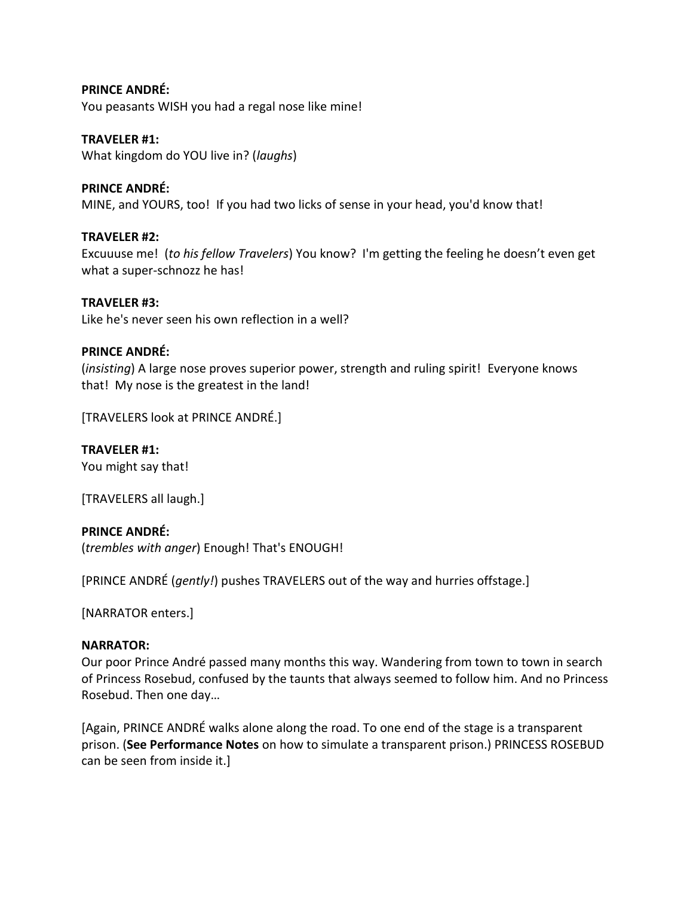## **PRINCE ANDRÉ:**

You peasants WISH you had a regal nose like mine!

#### **TRAVELER #1:**

What kingdom do YOU live in? (*laughs*)

## **PRINCE ANDRÉ:**

MINE, and YOURS, too! If you had two licks of sense in your head, you'd know that!

## **TRAVELER #2:**

Excuuuse me! (*to his fellow Travelers*) You know? I'm getting the feeling he doesn't even get what a super-schnozz he has!

## **TRAVELER #3:**

Like he's never seen his own reflection in a well?

## **PRINCE ANDRÉ:**

(*insisting*) A large nose proves superior power, strength and ruling spirit! Everyone knows that! My nose is the greatest in the land!

[TRAVELERS look at PRINCE ANDRÉ.]

## **TRAVELER #1:**

You might say that!

[TRAVELERS all laugh.]

## **PRINCE ANDRÉ:**

(*trembles with anger*) Enough! That's ENOUGH!

[PRINCE ANDRÉ (*gently!*) pushes TRAVELERS out of the way and hurries offstage.]

[NARRATOR enters.]

#### **NARRATOR:**

Our poor Prince André passed many months this way. Wandering from town to town in search of Princess Rosebud, confused by the taunts that always seemed to follow him. And no Princess Rosebud. Then one day…

[Again, PRINCE ANDRÉ walks alone along the road. To one end of the stage is a transparent prison. (**See Performance Notes** on how to simulate a transparent prison.) PRINCESS ROSEBUD can be seen from inside it.]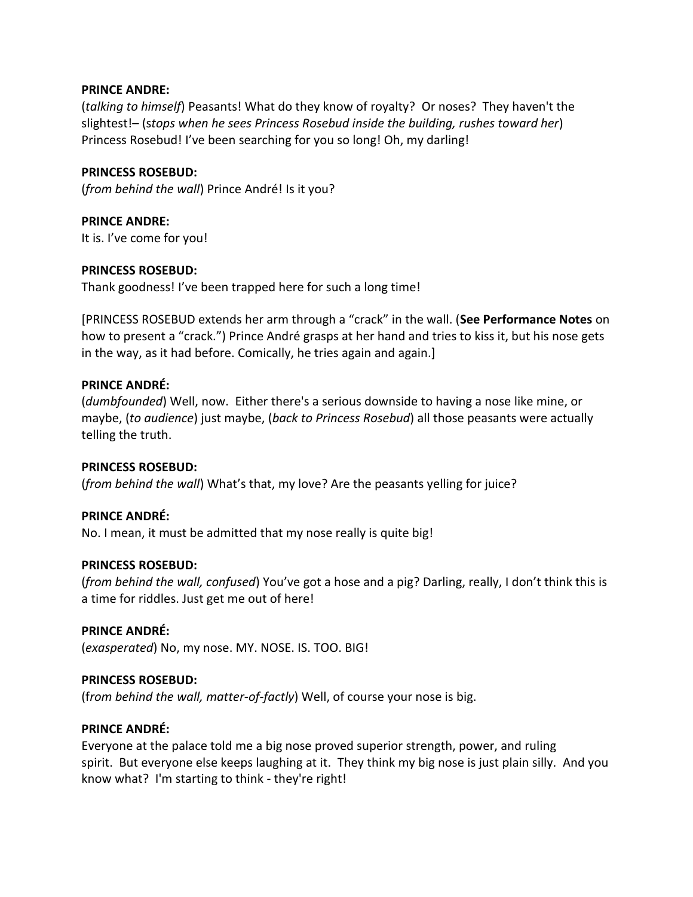## **PRINCE ANDRE:**

(*talking to himself*) Peasants! What do they know of royalty? Or noses? They haven't the slightest!– (s*tops when he sees Princess Rosebud inside the building, rushes toward her*) Princess Rosebud! I've been searching for you so long! Oh, my darling!

## **PRINCESS ROSEBUD:**

(*from behind the wall*) Prince André! Is it you?

**PRINCE ANDRE:**

It is. I've come for you!

## **PRINCESS ROSEBUD:**

Thank goodness! I've been trapped here for such a long time!

[PRINCESS ROSEBUD extends her arm through a "crack" in the wall. (**See Performance Notes** on how to present a "crack.") Prince André grasps at her hand and tries to kiss it, but his nose gets in the way, as it had before. Comically, he tries again and again.]

## **PRINCE ANDRÉ:**

(*dumbfounded*) Well, now. Either there's a serious downside to having a nose like mine, or maybe, (*to audience*) just maybe, (*back to Princess Rosebud*) all those peasants were actually telling the truth.

#### **PRINCESS ROSEBUD:**

(*from behind the wall*) What's that, my love? Are the peasants yelling for juice?

## **PRINCE ANDRÉ:**

No. I mean, it must be admitted that my nose really is quite big!

#### **PRINCESS ROSEBUD:**

(*from behind the wall, confused*) You've got a hose and a pig? Darling, really, I don't think this is a time for riddles. Just get me out of here!

#### **PRINCE ANDRÉ:**

(*exasperated*) No, my nose. MY. NOSE. IS. TOO. BIG!

#### **PRINCESS ROSEBUD:**

(f*rom behind the wall, matter-of-factly*) Well, of course your nose is big.

## **PRINCE ANDRÉ:**

Everyone at the palace told me a big nose proved superior strength, power, and ruling spirit. But everyone else keeps laughing at it. They think my big nose is just plain silly. And you know what? I'm starting to think - they're right!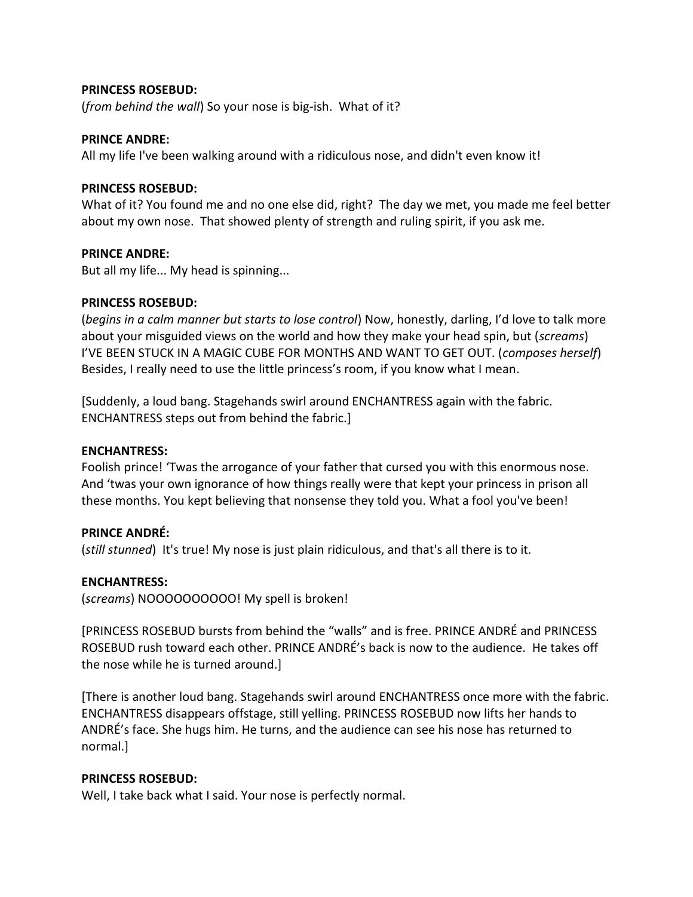## **PRINCESS ROSEBUD:**

(*from behind the wall*) So your nose is big-ish. What of it?

#### **PRINCE ANDRE:**

All my life I've been walking around with a ridiculous nose, and didn't even know it!

#### **PRINCESS ROSEBUD:**

What of it? You found me and no one else did, right? The day we met, you made me feel better about my own nose. That showed plenty of strength and ruling spirit, if you ask me.

## **PRINCE ANDRE:**

But all my life... My head is spinning...

## **PRINCESS ROSEBUD:**

(*begins in a calm manner but starts to lose control*) Now, honestly, darling, I'd love to talk more about your misguided views on the world and how they make your head spin, but (*screams*) I'VE BEEN STUCK IN A MAGIC CUBE FOR MONTHS AND WANT TO GET OUT. (*composes herself*) Besides, I really need to use the little princess's room, if you know what I mean.

[Suddenly, a loud bang. Stagehands swirl around ENCHANTRESS again with the fabric. ENCHANTRESS steps out from behind the fabric.]

#### **ENCHANTRESS:**

Foolish prince! 'Twas the arrogance of your father that cursed you with this enormous nose. And 'twas your own ignorance of how things really were that kept your princess in prison all these months. You kept believing that nonsense they told you. What a fool you've been!

## **PRINCE ANDRÉ:**

(*still stunned*) It's true! My nose is just plain ridiculous, and that's all there is to it.

## **ENCHANTRESS:**

(*screams*) NOOOOOOOOOO! My spell is broken!

[PRINCESS ROSEBUD bursts from behind the "walls" and is free. PRINCE ANDRÉ and PRINCESS ROSEBUD rush toward each other. PRINCE ANDRÉ's back is now to the audience. He takes off the nose while he is turned around.]

[There is another loud bang. Stagehands swirl around ENCHANTRESS once more with the fabric. ENCHANTRESS disappears offstage, still yelling. PRINCESS ROSEBUD now lifts her hands to ANDRÉ's face. She hugs him. He turns, and the audience can see his nose has returned to normal.]

## **PRINCESS ROSEBUD:**

Well, I take back what I said. Your nose is perfectly normal.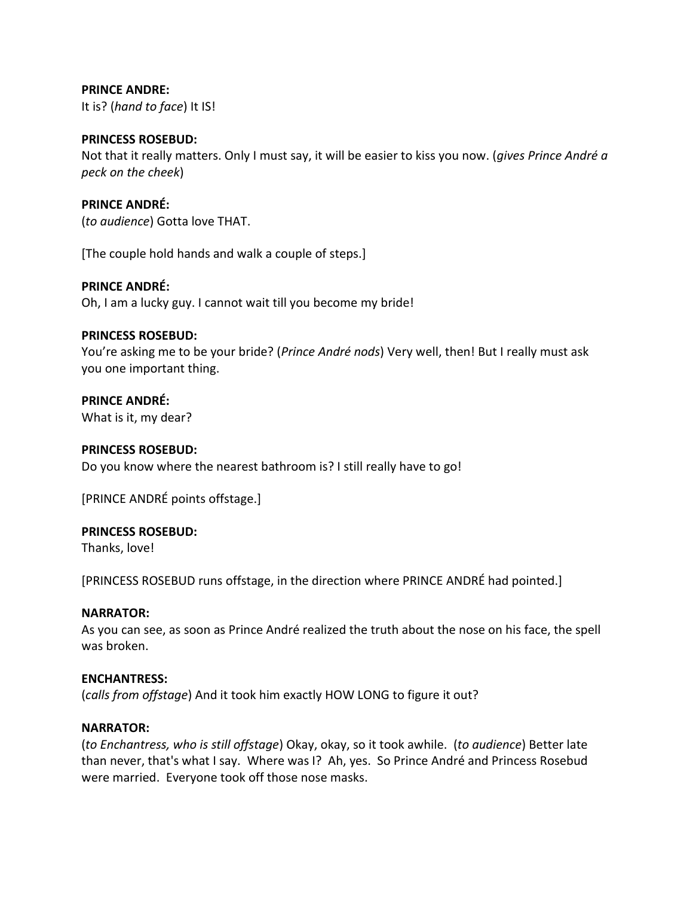## **PRINCE ANDRE:**

It is? (*hand to face*) It IS!

#### **PRINCESS ROSEBUD:**

Not that it really matters. Only I must say, it will be easier to kiss you now. (*gives Prince André a peck on the cheek*)

## **PRINCE ANDRÉ:**

(*to audience*) Gotta love THAT.

[The couple hold hands and walk a couple of steps.]

## **PRINCE ANDRÉ:**

Oh, I am a lucky guy. I cannot wait till you become my bride!

## **PRINCESS ROSEBUD:**

You're asking me to be your bride? (*Prince André nods*) Very well, then! But I really must ask you one important thing.

## **PRINCE ANDRÉ:**

What is it, my dear?

#### **PRINCESS ROSEBUD:**

Do you know where the nearest bathroom is? I still really have to go!

[PRINCE ANDRÉ points offstage.]

## **PRINCESS ROSEBUD:**

Thanks, love!

[PRINCESS ROSEBUD runs offstage, in the direction where PRINCE ANDRÉ had pointed.]

#### **NARRATOR:**

As you can see, as soon as Prince André realized the truth about the nose on his face, the spell was broken.

## **ENCHANTRESS:**

(*calls from offstage*) And it took him exactly HOW LONG to figure it out?

## **NARRATOR:**

(*to Enchantress, who is still offstage*) Okay, okay, so it took awhile. (*to audience*) Better late than never, that's what I say. Where was I? Ah, yes. So Prince André and Princess Rosebud were married. Everyone took off those nose masks.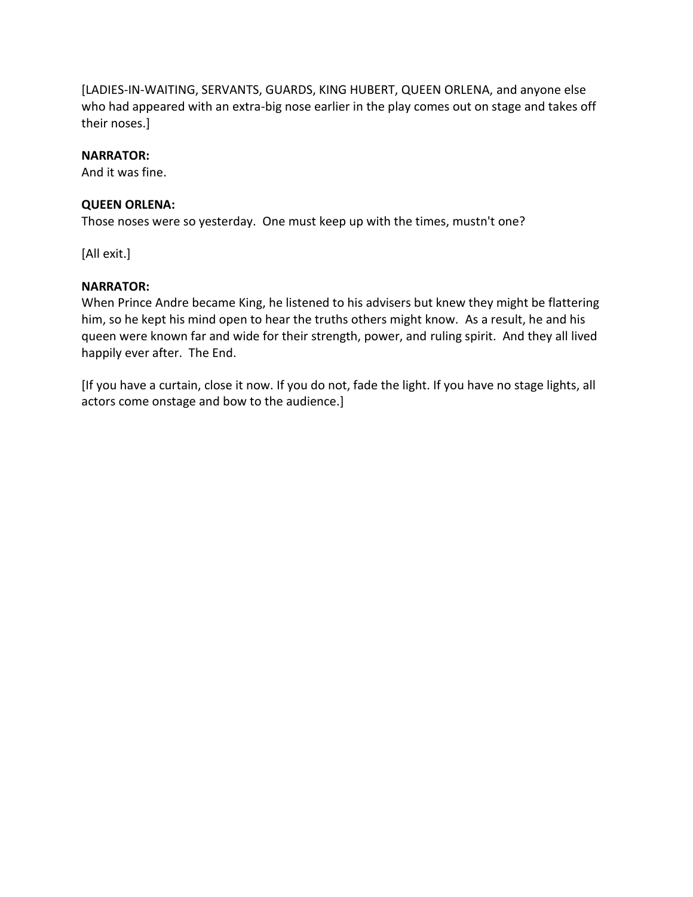[LADIES-IN-WAITING, SERVANTS, GUARDS, KING HUBERT, QUEEN ORLENA, and anyone else who had appeared with an extra-big nose earlier in the play comes out on stage and takes off their noses.]

## **NARRATOR:**

And it was fine.

## **QUEEN ORLENA:**

Those noses were so yesterday. One must keep up with the times, mustn't one?

[All exit.]

## **NARRATOR:**

When Prince Andre became King, he listened to his advisers but knew they might be flattering him, so he kept his mind open to hear the truths others might know. As a result, he and his queen were known far and wide for their strength, power, and ruling spirit. And they all lived happily ever after. The End.

[If you have a curtain, close it now. If you do not, fade the light. If you have no stage lights, all actors come onstage and bow to the audience.]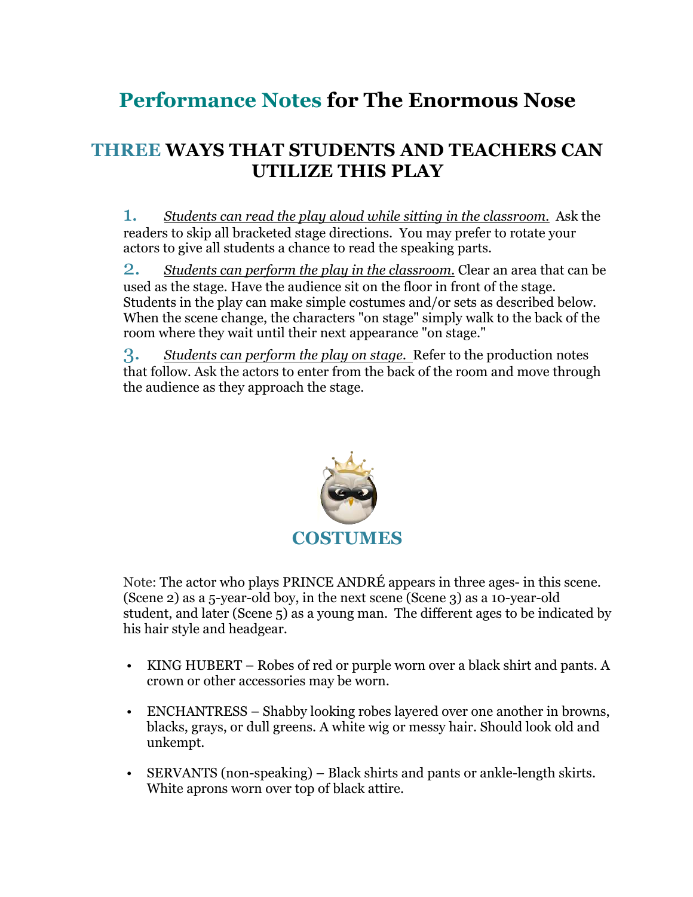# **Performance Notes for The Enormous Nose**

# **THREE WAYS THAT STUDENTS AND TEACHERS CAN UTILIZE THIS PLAY**

1. *Students can read the play aloud while sitting in the classroom.* Ask the readers to skip all bracketed stage directions. You may prefer to rotate your actors to give all students a chance to read the speaking parts.

2. *Students can perform the play in the classroom.* Clear an area that can be used as the stage. Have the audience sit on the floor in front of the stage. Students in the play can make simple costumes and/or sets as described below. When the scene change, the characters "on stage" simply walk to the back of the room where they wait until their next appearance "on stage."

3. *Students can perform the play on stage.* Refer to the production notes that follow. Ask the actors to enter from the back of the room and move through the audience as they approach the stage.



Note: The actor who plays PRINCE ANDRÉ appears in three ages- in this scene. (Scene 2) as a 5-year-old boy, in the next scene (Scene 3) as a 10-year-old student, and later (Scene 5) as a young man. The different ages to be indicated by his hair style and headgear.

- KING HUBERT Robes of red or purple worn over a black shirt and pants. A crown or other accessories may be worn.
- ENCHANTRESS Shabby looking robes layered over one another in browns, blacks, grays, or dull greens. A white wig or messy hair. Should look old and unkempt.
- SERVANTS (non-speaking) Black shirts and pants or ankle-length skirts. White aprons worn over top of black attire.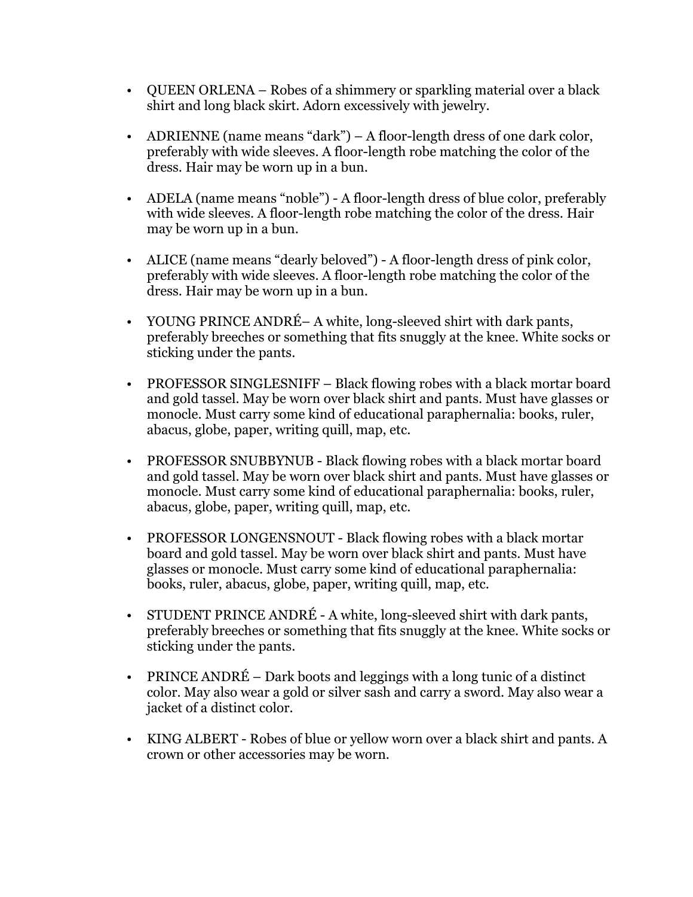- QUEEN ORLENA Robes of a shimmery or sparkling material over a black shirt and long black skirt. Adorn excessively with jewelry.
- ADRIENNE (name means "dark") A floor-length dress of one dark color, preferably with wide sleeves. A floor-length robe matching the color of the dress. Hair may be worn up in a bun.
- ADELA (name means "noble") A floor-length dress of blue color, preferably with wide sleeves. A floor-length robe matching the color of the dress. Hair may be worn up in a bun.
- ALICE (name means "dearly beloved") A floor-length dress of pink color, preferably with wide sleeves. A floor-length robe matching the color of the dress. Hair may be worn up in a bun.
- YOUNG PRINCE ANDRÉ– A white, long-sleeved shirt with dark pants, preferably breeches or something that fits snuggly at the knee. White socks or sticking under the pants.
- PROFESSOR SINGLESNIFF Black flowing robes with a black mortar board and gold tassel. May be worn over black shirt and pants. Must have glasses or monocle. Must carry some kind of educational paraphernalia: books, ruler, abacus, globe, paper, writing quill, map, etc.
- PROFESSOR SNUBBYNUB Black flowing robes with a black mortar board and gold tassel. May be worn over black shirt and pants. Must have glasses or monocle. Must carry some kind of educational paraphernalia: books, ruler, abacus, globe, paper, writing quill, map, etc.
- PROFESSOR LONGENSNOUT Black flowing robes with a black mortar board and gold tassel. May be worn over black shirt and pants. Must have glasses or monocle. Must carry some kind of educational paraphernalia: books, ruler, abacus, globe, paper, writing quill, map, etc.
- STUDENT PRINCE ANDRÉ A white, long-sleeved shirt with dark pants, preferably breeches or something that fits snuggly at the knee. White socks or sticking under the pants.
- PRINCE ANDRÉ Dark boots and leggings with a long tunic of a distinct color. May also wear a gold or silver sash and carry a sword. May also wear a jacket of a distinct color.
- KING ALBERT Robes of blue or yellow worn over a black shirt and pants. A crown or other accessories may be worn.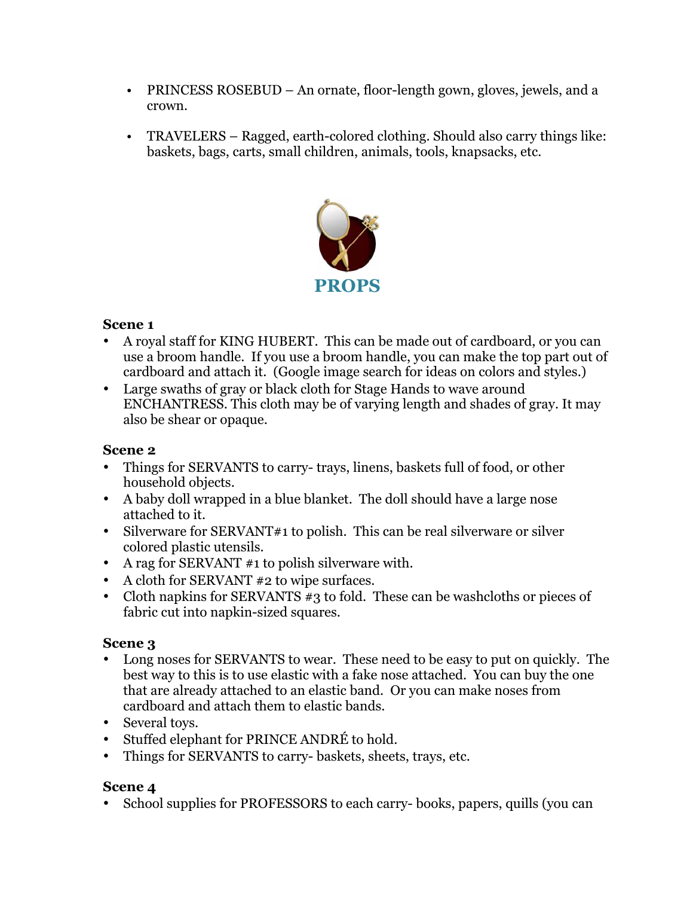- PRINCESS ROSEBUD An ornate, floor-length gown, gloves, jewels, and a crown.
- TRAVELERS Ragged, earth-colored clothing. Should also carry things like: baskets, bags, carts, small children, animals, tools, knapsacks, etc.



## **Scene 1**

- A royal staff for KING HUBERT. This can be made out of cardboard, or you can use a broom handle. If you use a broom handle, you can make the top part out of cardboard and attach it. (Google image search for ideas on colors and styles.)
- Large swaths of gray or black cloth for Stage Hands to wave around ENCHANTRESS. This cloth may be of varying length and shades of gray. It may also be shear or opaque.

## **Scene 2**

- Things for SERVANTS to carry- trays, linens, baskets full of food, or other household objects.
- A baby doll wrapped in a blue blanket. The doll should have a large nose attached to it.
- Silverware for SERVANT#1 to polish. This can be real silverware or silver colored plastic utensils.
- A rag for SERVANT #1 to polish silverware with.
- A cloth for SERVANT #2 to wipe surfaces.
- Cloth napkins for SERVANTS #3 to fold. These can be washcloths or pieces of fabric cut into napkin-sized squares.

## **Scene 3**

- Long noses for SERVANTS to wear. These need to be easy to put on quickly. The best way to this is to use elastic with a fake nose attached. You can buy the one that are already attached to an elastic band. Or you can make noses from cardboard and attach them to elastic bands.
- Several toys.
- Stuffed elephant for PRINCE ANDRÉ to hold.
- Things for SERVANTS to carry- baskets, sheets, trays, etc.

## **Scene 4**

• School supplies for PROFESSORS to each carry- books, papers, quills (you can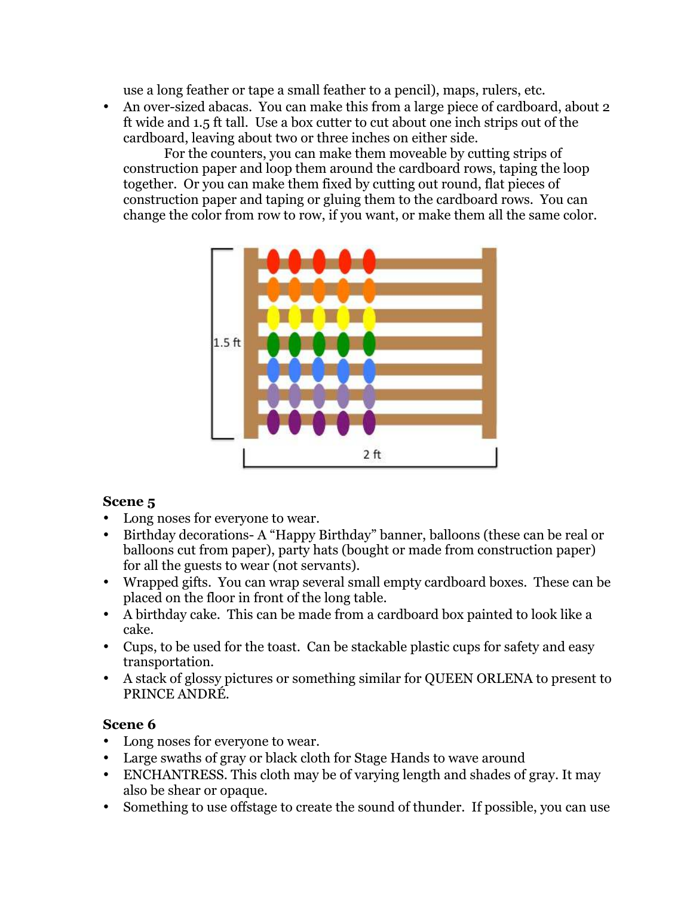use a long feather or tape a small feather to a pencil), maps, rulers, etc.

• An over-sized abacas. You can make this from a large piece of cardboard, about 2 ft wide and 1.5 ft tall. Use a box cutter to cut about one inch strips out of the cardboard, leaving about two or three inches on either side.

 For the counters, you can make them moveable by cutting strips of construction paper and loop them around the cardboard rows, taping the loop together. Or you can make them fixed by cutting out round, flat pieces of construction paper and taping or gluing them to the cardboard rows. You can change the color from row to row, if you want, or make them all the same color.



## **Scene 5**

- Long noses for everyone to wear.
- Birthday decorations- A "Happy Birthday" banner, balloons (these can be real or balloons cut from paper), party hats (bought or made from construction paper) for all the guests to wear (not servants).
- Wrapped gifts. You can wrap several small empty cardboard boxes. These can be placed on the floor in front of the long table.
- A birthday cake. This can be made from a cardboard box painted to look like a cake.
- Cups, to be used for the toast. Can be stackable plastic cups for safety and easy transportation.
- A stack of glossy pictures or something similar for QUEEN ORLENA to present to PRINCE ANDRÉ.

## **Scene 6**

- Long noses for everyone to wear.
- Large swaths of gray or black cloth for Stage Hands to wave around
- ENCHANTRESS. This cloth may be of varying length and shades of gray. It may also be shear or opaque.
- Something to use offstage to create the sound of thunder. If possible, you can use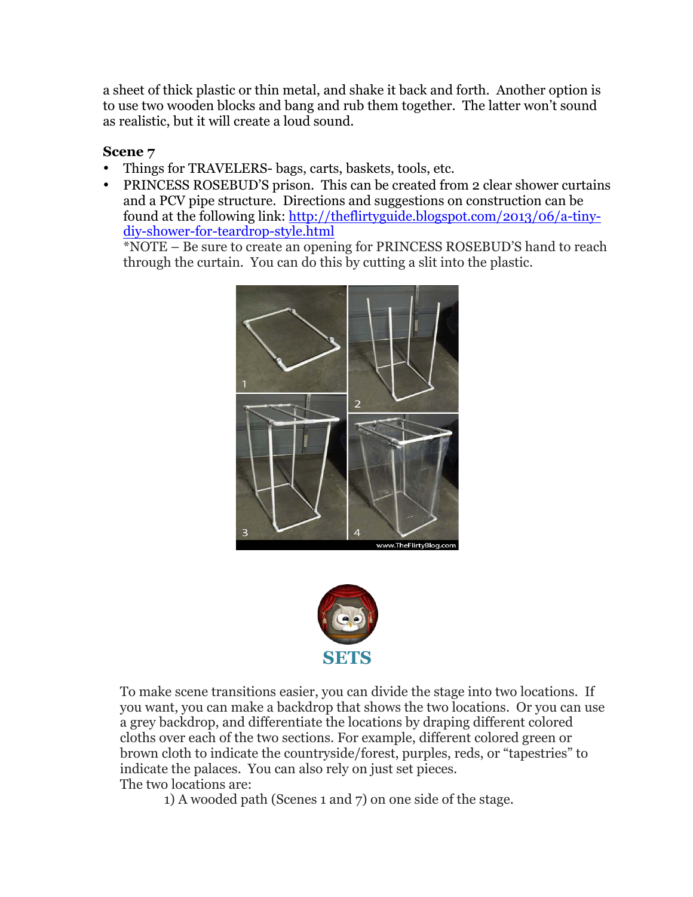a sheet of thick plastic or thin metal, and shake it back and forth. Another option is to use two wooden blocks and bang and rub them together. The latter won't sound as realistic, but it will create a loud sound.

## **Scene 7**

- Things for TRAVELERS- bags, carts, baskets, tools, etc.
- PRINCESS ROSEBUD'S prison. This can be created from 2 clear shower curtains and a PCV pipe structure. Directions and suggestions on construction can be found at the following link: http://theflirtyguide.blogspot.com/2013/06/a-tinydiy-shower-for-teardrop-style.html

\*NOTE – Be sure to create an opening for PRINCESS ROSEBUD'S hand to reach through the curtain. You can do this by cutting a slit into the plastic.





To make scene transitions easier, you can divide the stage into two locations. If you want, you can make a backdrop that shows the two locations. Or you can use a grey backdrop, and differentiate the locations by draping different colored cloths over each of the two sections. For example, different colored green or brown cloth to indicate the countryside/forest, purples, reds, or "tapestries" to indicate the palaces. You can also rely on just set pieces. The two locations are:

1) A wooded path (Scenes 1 and 7) on one side of the stage.